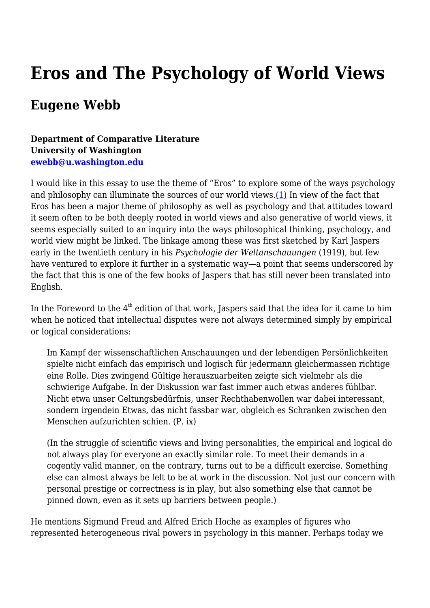# **Eros and The Psychology of World Views**

# **Eugene Webb**

### **Department of Comparative Literature University of Washington [ewebb@u.washington.edu](mailto:ewebb@u.washington.edu)**

I would like in this essay to use the theme of "Eros" to explore some of the ways psychology and philosophy can illuminate the sources of our world views. $(1)$  In view of the fact that Eros has been a major theme of philosophy as well as psychology and that attitudes toward it seem often to be both deeply rooted in world views and also generative of world views, it seems especially suited to an inquiry into the ways philosophical thinking, psychology, and world view might be linked. The linkage among these was first sketched by Karl Jaspers early in the twentieth century in his *Psychologie der Weltanschauungen* (1919), but few have ventured to explore it further in a systematic way—a point that seems underscored by the fact that this is one of the few books of Jaspers that has still never been translated into English.

In the Foreword to the  $4<sup>th</sup>$  edition of that work, Jaspers said that the idea for it came to him when he noticed that intellectual disputes were not always determined simply by empirical or logical considerations:

Im Kampf der wissenschaftlichen Anschauungen und der lebendigen Persönlichkeiten spielte nicht einfach das empirisch und logisch für jedermann gleichermassen richtige eine Rolle. Dies zwingend Gültige herauszuarbeiten zeigte sich vielmehr als die schwierige Aufgabe. In der Diskussion war fast immer auch etwas anderes fühlbar. Nicht etwa unser Geltungsbedürfnis, unser Rechthabenwollen war dabei interessant, sondern irgendein Etwas, das nicht fassbar war, obgleich es Schranken zwischen den Menschen aufzurichten schien. (P. ix)

(In the struggle of scientific views and living personalities, the empirical and logical do not always play for everyone an exactly similar role. To meet their demands in a cogently valid manner, on the contrary, turns out to be a difficult exercise. Something else can almost always be felt to be at work in the discussion. Not just our concern with personal prestige or correctness is in play, but also something else that cannot be pinned down, even as it sets up barriers between people.)

He mentions Sigmund Freud and Alfred Erich Hoche as examples of figures who represented heterogeneous rival powers in psychology in this manner. Perhaps today we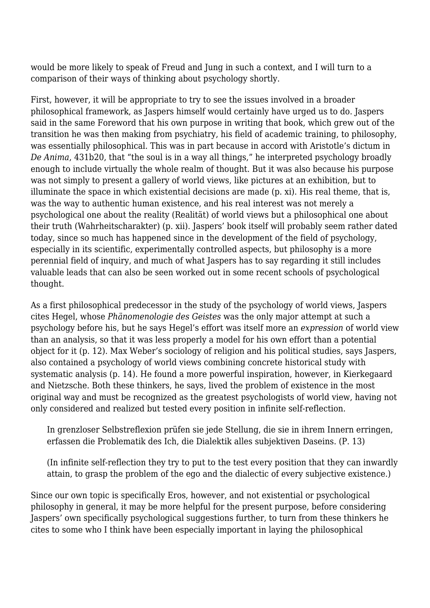would be more likely to speak of Freud and Jung in such a context, and I will turn to a comparison of their ways of thinking about psychology shortly.

First, however, it will be appropriate to try to see the issues involved in a broader philosophical framework, as Jaspers himself would certainly have urged us to do. Jaspers said in the same Foreword that his own purpose in writing that book, which grew out of the transition he was then making from psychiatry, his field of academic training, to philosophy, was essentially philosophical. This was in part because in accord with Aristotle's dictum in *De Anima*, 431b20, that "the soul is in a way all things," he interpreted psychology broadly enough to include virtually the whole realm of thought. But it was also because his purpose was not simply to present a gallery of world views, like pictures at an exhibition, but to illuminate the space in which existential decisions are made (p. xi). His real theme, that is, was the way to authentic human existence, and his real interest was not merely a psychological one about the reality (Realität) of world views but a philosophical one about their truth (Wahrheitscharakter) (p. xii). Jaspers' book itself will probably seem rather dated today, since so much has happened since in the development of the field of psychology, especially in its scientific, experimentally controlled aspects, but philosophy is a more perennial field of inquiry, and much of what Jaspers has to say regarding it still includes valuable leads that can also be seen worked out in some recent schools of psychological thought.

As a first philosophical predecessor in the study of the psychology of world views, Jaspers cites Hegel, whose *Phänomenologie des Geistes* was the only major attempt at such a psychology before his, but he says Hegel's effort was itself more an *expression* of world view than an analysis, so that it was less properly a model for his own effort than a potential object for it (p. 12). Max Weber's sociology of religion and his political studies, says Jaspers, also contained a psychology of world views combining concrete historical study with systematic analysis (p. 14). He found a more powerful inspiration, however, in Kierkegaard and Nietzsche. Both these thinkers, he says, lived the problem of existence in the most original way and must be recognized as the greatest psychologists of world view, having not only considered and realized but tested every position in infinite self-reflection.

In grenzloser Selbstreflexion prüfen sie jede Stellung, die sie in ihrem Innern erringen, erfassen die Problematik des Ich, die Dialektik alles subjektiven Daseins. (P. 13)

(In infinite self-reflection they try to put to the test every position that they can inwardly attain, to grasp the problem of the ego and the dialectic of every subjective existence.)

Since our own topic is specifically Eros, however, and not existential or psychological philosophy in general, it may be more helpful for the present purpose, before considering Jaspers' own specifically psychological suggestions further, to turn from these thinkers he cites to some who I think have been especially important in laying the philosophical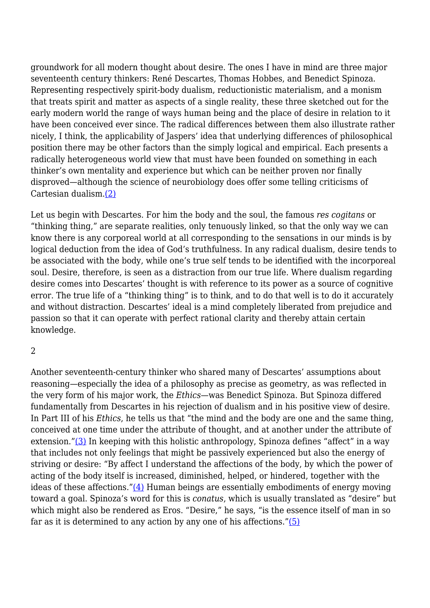groundwork for all modern thought about desire. The ones I have in mind are three major seventeenth century thinkers: René Descartes, Thomas Hobbes, and Benedict Spinoza. Representing respectively spirit-body dualism, reductionistic materialism, and a monism that treats spirit and matter as aspects of a single reality, these three sketched out for the early modern world the range of ways human being and the place of desire in relation to it have been conceived ever since. The radical differences between them also illustrate rather nicely, I think, the applicability of Jaspers' idea that underlying differences of philosophical position there may be other factors than the simply logical and empirical. Each presents a radically heterogeneous world view that must have been founded on something in each thinker's own mentality and experience but which can be neither proven nor finally disproved—although the science of neurobiology does offer some telling criticisms of Cartesian dualism[.\(2\)](http://anthropoetics.ucla.edu/ap1201/webb06rev#n2)

Let us begin with Descartes. For him the body and the soul, the famous *res cogitans* or "thinking thing," are separate realities, only tenuously linked, so that the only way we can know there is any corporeal world at all corresponding to the sensations in our minds is by logical deduction from the idea of God's truthfulness. In any radical dualism, desire tends to be associated with the body, while one's true self tends to be identified with the incorporeal soul. Desire, therefore, is seen as a distraction from our true life. Where dualism regarding desire comes into Descartes' thought is with reference to its power as a source of cognitive error. The true life of a "thinking thing" is to think, and to do that well is to do it accurately and without distraction. Descartes' ideal is a mind completely liberated from prejudice and passion so that it can operate with perfect rational clarity and thereby attain certain knowledge.

#### 2

Another seventeenth-century thinker who shared many of Descartes' assumptions about reasoning—especially the idea of a philosophy as precise as geometry, as was reflected in the very form of his major work, the *Ethics*—was Benedict Spinoza. But Spinoza differed fundamentally from Descartes in his rejection of dualism and in his positive view of desire. In Part III of his *Ethics*, he tells us that "the mind and the body are one and the same thing, conceived at one time under the attribute of thought, and at another under the attribute of extension.["\(3\)](http://anthropoetics.ucla.edu/ap1201/webb06rev#n3) In keeping with this holistic anthropology, Spinoza defines "affect" in a way that includes not only feelings that might be passively experienced but also the energy of striving or desire: "By affect I understand the affections of the body, by which the power of acting of the body itself is increased, diminished, helped, or hindered, together with the ideas of these affections.["\(4\)](http://anthropoetics.ucla.edu/ap1201/webb06rev#n4) Human beings are essentially embodiments of energy moving toward a goal. Spinoza's word for this is *conatus*, which is usually translated as "desire" but which might also be rendered as Eros. "Desire," he says, "is the essence itself of man in so far as it is determined to any action by any one of his affections." $(5)$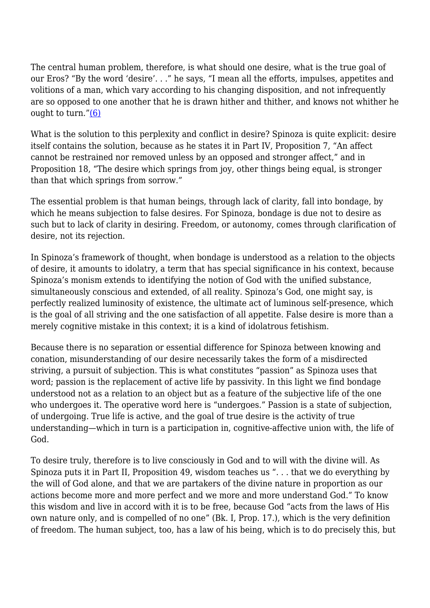The central human problem, therefore, is what should one desire, what is the true goal of our Eros? "By the word 'desire'. . ." he says, "I mean all the efforts, impulses, appetites and volitions of a man, which vary according to his changing disposition, and not infrequently are so opposed to one another that he is drawn hither and thither, and knows not whither he ought to turn.["\(6\)](http://anthropoetics.ucla.edu/ap1201/webb06rev#n6)

What is the solution to this perplexity and conflict in desire? Spinoza is quite explicit: desire itself contains the solution, because as he states it in Part IV, Proposition 7, "An affect cannot be restrained nor removed unless by an opposed and stronger affect," and in Proposition 18, "The desire which springs from joy, other things being equal, is stronger than that which springs from sorrow."

The essential problem is that human beings, through lack of clarity, fall into bondage, by which he means subjection to false desires. For Spinoza, bondage is due not to desire as such but to lack of clarity in desiring. Freedom, or autonomy, comes through clarification of desire, not its rejection.

In Spinoza's framework of thought, when bondage is understood as a relation to the objects of desire, it amounts to idolatry, a term that has special significance in his context, because Spinoza's monism extends to identifying the notion of God with the unified substance, simultaneously conscious and extended, of all reality. Spinoza's God, one might say, is perfectly realized luminosity of existence, the ultimate act of luminous self-presence, which is the goal of all striving and the one satisfaction of all appetite. False desire is more than a merely cognitive mistake in this context; it is a kind of idolatrous fetishism.

Because there is no separation or essential difference for Spinoza between knowing and conation, misunderstanding of our desire necessarily takes the form of a misdirected striving, a pursuit of subjection. This is what constitutes "passion" as Spinoza uses that word; passion is the replacement of active life by passivity. In this light we find bondage understood not as a relation to an object but as a feature of the subjective life of the one who undergoes it. The operative word here is "undergoes." Passion is a state of subjection, of undergoing. True life is active, and the goal of true desire is the activity of true understanding—which in turn is a participation in, cognitive-affective union with, the life of God.

To desire truly, therefore is to live consciously in God and to will with the divine will. As Spinoza puts it in Part II, Proposition 49, wisdom teaches us ". . . that we do everything by the will of God alone, and that we are partakers of the divine nature in proportion as our actions become more and more perfect and we more and more understand God." To know this wisdom and live in accord with it is to be free, because God "acts from the laws of His own nature only, and is compelled of no one" (Bk. I, Prop. 17.), which is the very definition of freedom. The human subject, too, has a law of his being, which is to do precisely this, but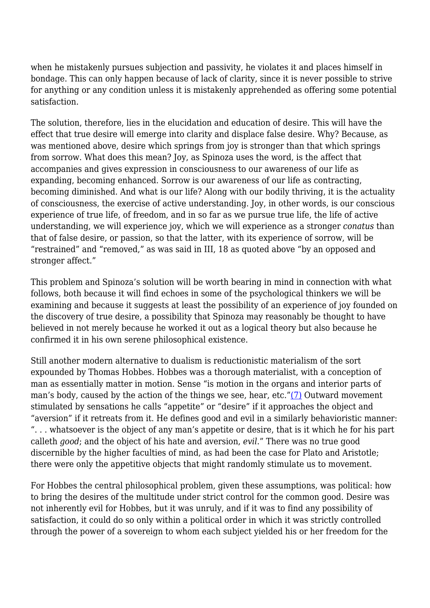when he mistakenly pursues subjection and passivity, he violates it and places himself in bondage. This can only happen because of lack of clarity, since it is never possible to strive for anything or any condition unless it is mistakenly apprehended as offering some potential satisfaction.

The solution, therefore, lies in the elucidation and education of desire. This will have the effect that true desire will emerge into clarity and displace false desire. Why? Because, as was mentioned above, desire which springs from joy is stronger than that which springs from sorrow. What does this mean? Joy, as Spinoza uses the word, is the affect that accompanies and gives expression in consciousness to our awareness of our life as expanding, becoming enhanced. Sorrow is our awareness of our life as contracting, becoming diminished. And what is our life? Along with our bodily thriving, it is the actuality of consciousness, the exercise of active understanding. Joy, in other words, is our conscious experience of true life, of freedom, and in so far as we pursue true life, the life of active understanding, we will experience joy, which we will experience as a stronger *conatus* than that of false desire, or passion, so that the latter, with its experience of sorrow, will be "restrained" and "removed," as was said in III, 18 as quoted above "by an opposed and stronger affect."

This problem and Spinoza's solution will be worth bearing in mind in connection with what follows, both because it will find echoes in some of the psychological thinkers we will be examining and because it suggests at least the possibility of an experience of joy founded on the discovery of true desire, a possibility that Spinoza may reasonably be thought to have believed in not merely because he worked it out as a logical theory but also because he confirmed it in his own serene philosophical existence.

Still another modern alternative to dualism is reductionistic materialism of the sort expounded by Thomas Hobbes. Hobbes was a thorough materialist, with a conception of man as essentially matter in motion. Sense "is motion in the organs and interior parts of man's body, caused by the action of the things we see, hear, etc."[\(7\)](http://anthropoetics.ucla.edu/ap1201/webb06rev#n7) Outward movement stimulated by sensations he calls "appetite" or "desire" if it approaches the object and "aversion" if it retreats from it. He defines good and evil in a similarly behavioristic manner: ". . . whatsoever is the object of any man's appetite or desire, that is it which he for his part calleth *good*; and the object of his hate and aversion, *evil*." There was no true good discernible by the higher faculties of mind, as had been the case for Plato and Aristotle; there were only the appetitive objects that might randomly stimulate us to movement.

For Hobbes the central philosophical problem, given these assumptions, was political: how to bring the desires of the multitude under strict control for the common good. Desire was not inherently evil for Hobbes, but it was unruly, and if it was to find any possibility of satisfaction, it could do so only within a political order in which it was strictly controlled through the power of a sovereign to whom each subject yielded his or her freedom for the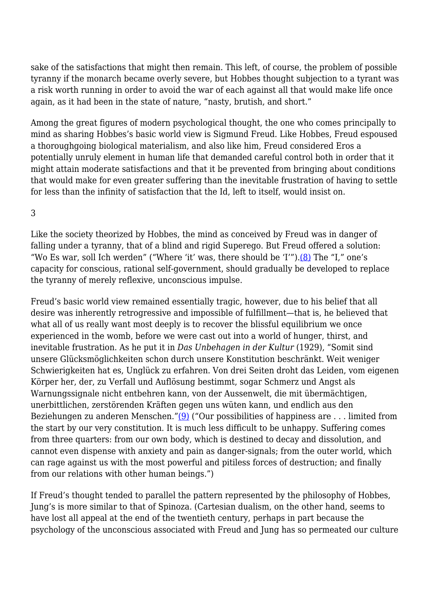sake of the satisfactions that might then remain. This left, of course, the problem of possible tyranny if the monarch became overly severe, but Hobbes thought subjection to a tyrant was a risk worth running in order to avoid the war of each against all that would make life once again, as it had been in the state of nature, "nasty, brutish, and short."

Among the great figures of modern psychological thought, the one who comes principally to mind as sharing Hobbes's basic world view is Sigmund Freud. Like Hobbes, Freud espoused a thoroughgoing biological materialism, and also like him, Freud considered Eros a potentially unruly element in human life that demanded careful control both in order that it might attain moderate satisfactions and that it be prevented from bringing about conditions that would make for even greater suffering than the inevitable frustration of having to settle for less than the infinity of satisfaction that the Id, left to itself, would insist on.

3

Like the society theorized by Hobbes, the mind as conceived by Freud was in danger of falling under a tyranny, that of a blind and rigid Superego. But Freud offered a solution: "Wo Es war, soll Ich werden" ("Where 'it' was, there should be 'I'")[.\(8\)](http://anthropoetics.ucla.edu/ap1201/webb06rev#n8) The "I," one's capacity for conscious, rational self-government, should gradually be developed to replace the tyranny of merely reflexive, unconscious impulse.

Freud's basic world view remained essentially tragic, however, due to his belief that all desire was inherently retrogressive and impossible of fulfillment—that is, he believed that what all of us really want most deeply is to recover the blissful equilibrium we once experienced in the womb, before we were cast out into a world of hunger, thirst, and inevitable frustration. As he put it in *Das Unbehagen in der Kultur* (1929), "Somit sind unsere Glücksmöglichkeiten schon durch unsere Konstitution beschränkt. Weit weniger Schwierigkeiten hat es, Unglück zu erfahren. Von drei Seiten droht das Leiden, vom eigenen Körper her, der, zu Verfall und Auflösung bestimmt, sogar Schmerz und Angst als Warnungssignale nicht entbehren kann, von der Aussenwelt, die mit übermächtigen, unerbittlichen, zerstörenden Kräften gegen uns wüten kann, und endlich aus den Beziehungen zu anderen Menschen." $(9)$  ("Our possibilities of happiness are ... limited from the start by our very constitution. It is much less difficult to be unhappy. Suffering comes from three quarters: from our own body, which is destined to decay and dissolution, and cannot even dispense with anxiety and pain as danger-signals; from the outer world, which can rage against us with the most powerful and pitiless forces of destruction; and finally from our relations with other human beings.")

If Freud's thought tended to parallel the pattern represented by the philosophy of Hobbes, Jung's is more similar to that of Spinoza. (Cartesian dualism, on the other hand, seems to have lost all appeal at the end of the twentieth century, perhaps in part because the psychology of the unconscious associated with Freud and Jung has so permeated our culture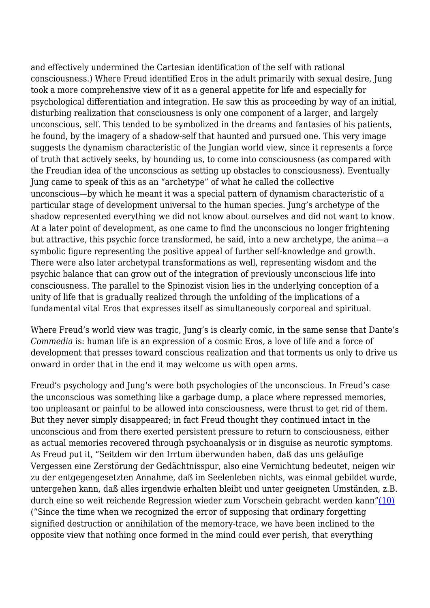and effectively undermined the Cartesian identification of the self with rational consciousness.) Where Freud identified Eros in the adult primarily with sexual desire, Jung took a more comprehensive view of it as a general appetite for life and especially for psychological differentiation and integration. He saw this as proceeding by way of an initial, disturbing realization that consciousness is only one component of a larger, and largely unconscious, self. This tended to be symbolized in the dreams and fantasies of his patients, he found, by the imagery of a shadow-self that haunted and pursued one. This very image suggests the dynamism characteristic of the Jungian world view, since it represents a force of truth that actively seeks, by hounding us, to come into consciousness (as compared with the Freudian idea of the unconscious as setting up obstacles to consciousness). Eventually Jung came to speak of this as an "archetype" of what he called the collective unconscious—by which he meant it was a special pattern of dynamism characteristic of a particular stage of development universal to the human species. Jung's archetype of the shadow represented everything we did not know about ourselves and did not want to know. At a later point of development, as one came to find the unconscious no longer frightening but attractive, this psychic force transformed, he said, into a new archetype, the anima—a symbolic figure representing the positive appeal of further self-knowledge and growth. There were also later archetypal transformations as well, representing wisdom and the psychic balance that can grow out of the integration of previously unconscious life into consciousness. The parallel to the Spinozist vision lies in the underlying conception of a unity of life that is gradually realized through the unfolding of the implications of a fundamental vital Eros that expresses itself as simultaneously corporeal and spiritual.

Where Freud's world view was tragic, Jung's is clearly comic, in the same sense that Dante's *Commedia* is: human life is an expression of a cosmic Eros, a love of life and a force of development that presses toward conscious realization and that torments us only to drive us onward in order that in the end it may welcome us with open arms.

Freud's psychology and Jung's were both psychologies of the unconscious. In Freud's case the unconscious was something like a garbage dump, a place where repressed memories, too unpleasant or painful to be allowed into consciousness, were thrust to get rid of them. But they never simply disappeared; in fact Freud thought they continued intact in the unconscious and from there exerted persistent pressure to return to consciousness, either as actual memories recovered through psychoanalysis or in disguise as neurotic symptoms. As Freud put it, "Seitdem wir den Irrtum überwunden haben, daß das uns geläufige Vergessen eine Zerstörung der Gedächtnisspur, also eine Vernichtung bedeutet, neigen wir zu der entgegengesetzten Annahme, daß im Seelenleben nichts, was einmal gebildet wurde, untergehen kann, daß alles irgendwie erhalten bleibt und unter geeigneten Umständen, z.B. durch eine so weit reichende Regression wieder zum Vorschein gebracht werden kann["\(10\)](http://anthropoetics.ucla.edu/ap1201/webb06rev#n10) ("Since the time when we recognized the error of supposing that ordinary forgetting signified destruction or annihilation of the memory-trace, we have been inclined to the opposite view that nothing once formed in the mind could ever perish, that everything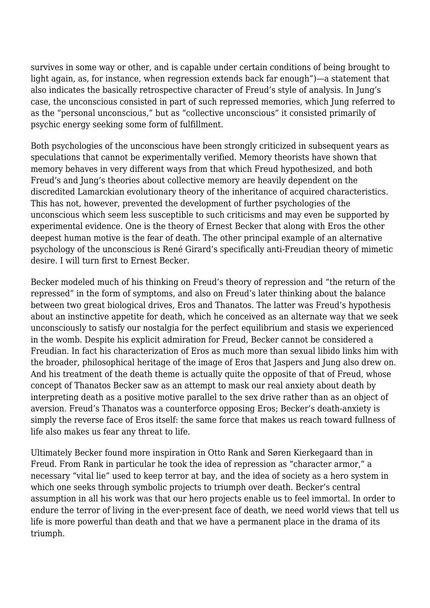survives in some way or other, and is capable under certain conditions of being brought to light again, as, for instance, when regression extends back far enough")—a statement that also indicates the basically retrospective character of Freud's style of analysis. In Jung's case, the unconscious consisted in part of such repressed memories, which Jung referred to as the "personal unconscious," but as "collective unconscious" it consisted primarily of psychic energy seeking some form of fulfillment.

Both psychologies of the unconscious have been strongly criticized in subsequent years as speculations that cannot be experimentally verified. Memory theorists have shown that memory behaves in very different ways from that which Freud hypothesized, and both Freud's and Jung's theories about collective memory are heavily dependent on the discredited Lamarckian evolutionary theory of the inheritance of acquired characteristics. This has not, however, prevented the development of further psychologies of the unconscious which seem less susceptible to such criticisms and may even be supported by experimental evidence. One is the theory of Ernest Becker that along with Eros the other deepest human motive is the fear of death. The other principal example of an alternative psychology of the unconscious is René Girard's specifically anti-Freudian theory of mimetic desire. I will turn first to Ernest Becker.

Becker modeled much of his thinking on Freud's theory of repression and "the return of the repressed" in the form of symptoms, and also on Freud's later thinking about the balance between two great biological drives, Eros and Thanatos. The latter was Freud's hypothesis about an instinctive appetite for death, which he conceived as an alternate way that we seek unconsciously to satisfy our nostalgia for the perfect equilibrium and stasis we experienced in the womb. Despite his explicit admiration for Freud, Becker cannot be considered a Freudian. In fact his characterization of Eros as much more than sexual libido links him with the broader, philosophical heritage of the image of Eros that Jaspers and Jung also drew on. And his treatment of the death theme is actually quite the opposite of that of Freud, whose concept of Thanatos Becker saw as an attempt to mask our real anxiety about death by interpreting death as a positive motive parallel to the sex drive rather than as an object of aversion. Freud's Thanatos was a counterforce opposing Eros; Becker's death-anxiety is simply the reverse face of Eros itself: the same force that makes us reach toward fullness of life also makes us fear any threat to life.

Ultimately Becker found more inspiration in Otto Rank and Søren Kierkegaard than in Freud. From Rank in particular he took the idea of repression as "character armor," a necessary "vital lie" used to keep terror at bay, and the idea of society as a hero system in which one seeks through symbolic projects to triumph over death. Becker's central assumption in all his work was that our hero projects enable us to feel immortal. In order to endure the terror of living in the ever-present face of death, we need world views that tell us life is more powerful than death and that we have a permanent place in the drama of its triumph.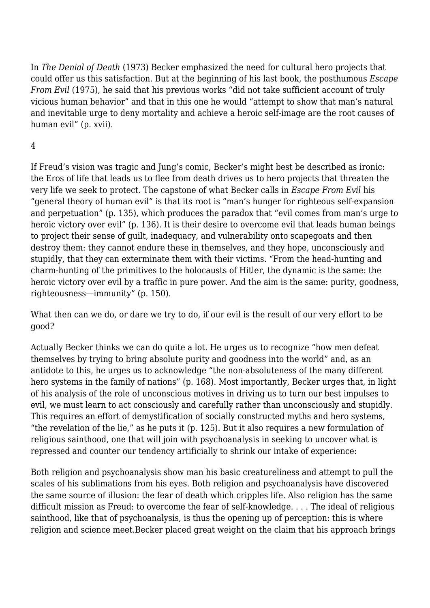In *The Denial of Death* (1973) Becker emphasized the need for cultural hero projects that could offer us this satisfaction. But at the beginning of his last book, the posthumous *Escape From Evil* (1975), he said that his previous works "did not take sufficient account of truly vicious human behavior" and that in this one he would "attempt to show that man's natural and inevitable urge to deny mortality and achieve a heroic self-image are the root causes of human evil" (p. xvii).

# 4

If Freud's vision was tragic and Jung's comic, Becker's might best be described as ironic: the Eros of life that leads us to flee from death drives us to hero projects that threaten the very life we seek to protect. The capstone of what Becker calls in *Escape From Evil* his "general theory of human evil" is that its root is "man's hunger for righteous self-expansion and perpetuation" (p. 135), which produces the paradox that "evil comes from man's urge to heroic victory over evil" (p. 136). It is their desire to overcome evil that leads human beings to project their sense of guilt, inadequacy, and vulnerability onto scapegoats and then destroy them: they cannot endure these in themselves, and they hope, unconsciously and stupidly, that they can exterminate them with their victims. "From the head-hunting and charm-hunting of the primitives to the holocausts of Hitler, the dynamic is the same: the heroic victory over evil by a traffic in pure power. And the aim is the same: purity, goodness, righteousness—immunity" (p. 150).

What then can we do, or dare we try to do, if our evil is the result of our very effort to be good?

Actually Becker thinks we can do quite a lot. He urges us to recognize "how men defeat themselves by trying to bring absolute purity and goodness into the world" and, as an antidote to this, he urges us to acknowledge "the non-absoluteness of the many different hero systems in the family of nations" (p. 168). Most importantly, Becker urges that, in light of his analysis of the role of unconscious motives in driving us to turn our best impulses to evil, we must learn to act consciously and carefully rather than unconsciously and stupidly. This requires an effort of demystification of socially constructed myths and hero systems, "the revelation of the lie," as he puts it (p. 125). But it also requires a new formulation of religious sainthood, one that will join with psychoanalysis in seeking to uncover what is repressed and counter our tendency artificially to shrink our intake of experience:

Both religion and psychoanalysis show man his basic creatureliness and attempt to pull the scales of his sublimations from his eyes. Both religion and psychoanalysis have discovered the same source of illusion: the fear of death which cripples life. Also religion has the same difficult mission as Freud: to overcome the fear of self-knowledge. . . . The ideal of religious sainthood, like that of psychoanalysis, is thus the opening up of perception: this is where religion and science meet.Becker placed great weight on the claim that his approach brings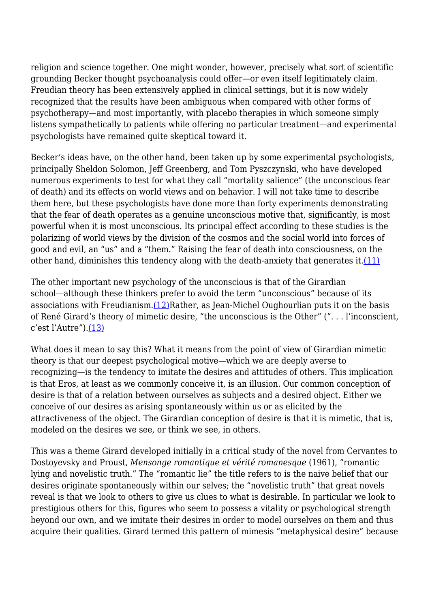religion and science together. One might wonder, however, precisely what sort of scientific grounding Becker thought psychoanalysis could offer—or even itself legitimately claim. Freudian theory has been extensively applied in clinical settings, but it is now widely recognized that the results have been ambiguous when compared with other forms of psychotherapy—and most importantly, with placebo therapies in which someone simply listens sympathetically to patients while offering no particular treatment—and experimental psychologists have remained quite skeptical toward it.

Becker's ideas have, on the other hand, been taken up by some experimental psychologists, principally Sheldon Solomon, Jeff Greenberg, and Tom Pyszczynski, who have developed numerous experiments to test for what they call "mortality salience" (the unconscious fear of death) and its effects on world views and on behavior. I will not take time to describe them here, but these psychologists have done more than forty experiments demonstrating that the fear of death operates as a genuine unconscious motive that, significantly, is most powerful when it is most unconscious. Its principal effect according to these studies is the polarizing of world views by the division of the cosmos and the social world into forces of good and evil, an "us" and a "them." Raising the fear of death into consciousness, on the other hand, diminishes this tendency along with the death-anxiety that generates it. $(11)$ 

The other important new psychology of the unconscious is that of the Girardian school—although these thinkers prefer to avoid the term "unconscious" because of its associations with Freudianism[.\(12\)R](http://anthropoetics.ucla.edu/ap1201/webb06rev#n12)ather, as Jean-Michel Oughourlian puts it on the basis of René Girard's theory of mimetic desire, "the unconscious is the Other" (". . . l'inconscient, c'est l'Autre")[.\(13\)](http://anthropoetics.ucla.edu/ap1201/webb06rev#n13)

What does it mean to say this? What it means from the point of view of Girardian mimetic theory is that our deepest psychological motive—which we are deeply averse to recognizing—is the tendency to imitate the desires and attitudes of others. This implication is that Eros, at least as we commonly conceive it, is an illusion. Our common conception of desire is that of a relation between ourselves as subjects and a desired object. Either we conceive of our desires as arising spontaneously within us or as elicited by the attractiveness of the object. The Girardian conception of desire is that it is mimetic, that is, modeled on the desires we see, or think we see, in others.

This was a theme Girard developed initially in a critical study of the novel from Cervantes to Dostoyevsky and Proust, *Mensonge romantique et vérité romanesque* (1961), "romantic lying and novelistic truth." The "romantic lie" the title refers to is the naive belief that our desires originate spontaneously within our selves; the "novelistic truth" that great novels reveal is that we look to others to give us clues to what is desirable. In particular we look to prestigious others for this, figures who seem to possess a vitality or psychological strength beyond our own, and we imitate their desires in order to model ourselves on them and thus acquire their qualities. Girard termed this pattern of mimesis "metaphysical desire" because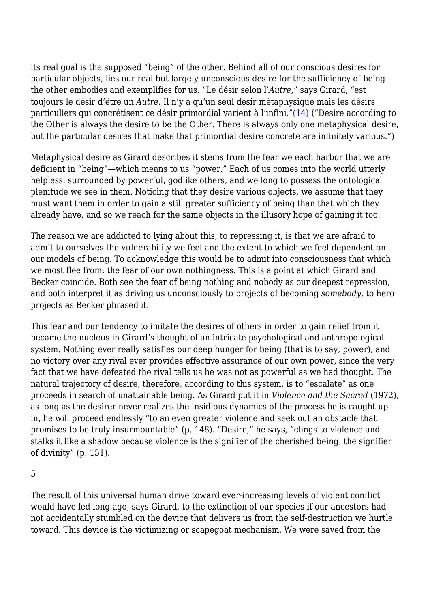its real goal is the supposed "being" of the other. Behind all of our conscious desires for particular objects, lies our real but largely unconscious desire for the sufficiency of being the other embodies and exemplifies for us. "Le désir selon l'*Autre*," says Girard, "est toujours le désir d'être un *Autre*. Il n'y a qu'un seul désir métaphysique mais les désirs particuliers qui concrétisent ce désir primordial varient à l'infini."[\(14\)](http://anthropoetics.ucla.edu/ap1201/webb06rev#n14) ("Desire according to the Other is always the desire to be the Other. There is always only one metaphysical desire, but the particular desires that make that primordial desire concrete are infinitely various.")

Metaphysical desire as Girard describes it stems from the fear we each harbor that we are deficient in "being"—which means to us "power." Each of us comes into the world utterly helpless, surrounded by powerful, godlike others, and we long to possess the ontological plenitude we see in them. Noticing that they desire various objects, we assume that they must want them in order to gain a still greater sufficiency of being than that which they already have, and so we reach for the same objects in the illusory hope of gaining it too.

The reason we are addicted to lying about this, to repressing it, is that we are afraid to admit to ourselves the vulnerability we feel and the extent to which we feel dependent on our models of being. To acknowledge this would be to admit into consciousness that which we most flee from: the fear of our own nothingness. This is a point at which Girard and Becker coincide. Both see the fear of being nothing and nobody as our deepest repression, and both interpret it as driving us unconsciously to projects of becoming *somebody*, to hero projects as Becker phrased it.

This fear and our tendency to imitate the desires of others in order to gain relief from it became the nucleus in Girard's thought of an intricate psychological and anthropological system. Nothing ever really satisfies our deep hunger for being (that is to say, power), and no victory over any rival ever provides effective assurance of our own power, since the very fact that we have defeated the rival tells us he was not as powerful as we had thought. The natural trajectory of desire, therefore, according to this system, is to "escalate" as one proceeds in search of unattainable being. As Girard put it in *Violence and the Sacred* (1972), as long as the desirer never realizes the insidious dynamics of the process he is caught up in, he will proceed endlessly "to an even greater violence and seek out an obstacle that promises to be truly insurmountable" (p. 148). "Desire," he says, "clings to violence and stalks it like a shadow because violence is the signifier of the cherished being, the signifier of divinity" (p. 151).

5

The result of this universal human drive toward ever-increasing levels of violent conflict would have led long ago, says Girard, to the extinction of our species if our ancestors had not accidentally stumbled on the device that delivers us from the self-destruction we hurtle toward. This device is the victimizing or scapegoat mechanism. We were saved from the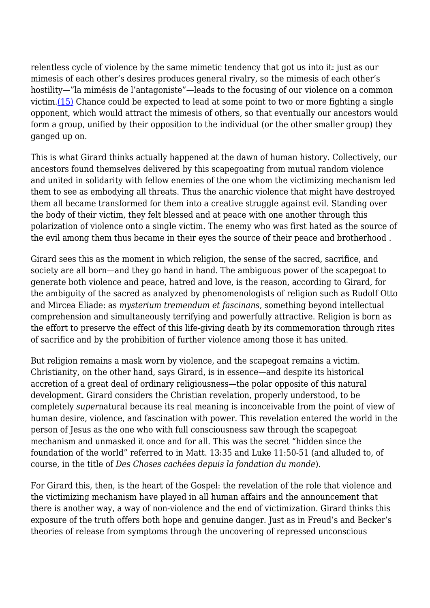relentless cycle of violence by the same mimetic tendency that got us into it: just as our mimesis of each other's desires produces general rivalry, so the mimesis of each other's hostility—"la mimésis de l'antagoniste"—leads to the focusing of our violence on a common victim.[\(15\)](http://anthropoetics.ucla.edu/ap1201/webb06rev#n15) Chance could be expected to lead at some point to two or more fighting a single opponent, which would attract the mimesis of others, so that eventually our ancestors would form a group, unified by their opposition to the individual (or the other smaller group) they ganged up on.

This is what Girard thinks actually happened at the dawn of human history. Collectively, our ancestors found themselves delivered by this scapegoating from mutual random violence and united in solidarity with fellow enemies of the one whom the victimizing mechanism led them to see as embodying all threats. Thus the anarchic violence that might have destroyed them all became transformed for them into a creative struggle against evil. Standing over the body of their victim, they felt blessed and at peace with one another through this polarization of violence onto a single victim. The enemy who was first hated as the source of the evil among them thus became in their eyes the source of their peace and brotherhood .

Girard sees this as the moment in which religion, the sense of the sacred, sacrifice, and society are all born—and they go hand in hand. The ambiguous power of the scapegoat to generate both violence and peace, hatred and love, is the reason, according to Girard, for the ambiguity of the sacred as analyzed by phenomenologists of religion such as Rudolf Otto and Mircea Eliade: as *mysterium tremendum et fascinans*, something beyond intellectual comprehension and simultaneously terrifying and powerfully attractive. Religion is born as the effort to preserve the effect of this life-giving death by its commemoration through rites of sacrifice and by the prohibition of further violence among those it has united.

But religion remains a mask worn by violence, and the scapegoat remains a victim. Christianity, on the other hand, says Girard, is in essence—and despite its historical accretion of a great deal of ordinary religiousness—the polar opposite of this natural development. Girard considers the Christian revelation, properly understood, to be completely *super*natural because its real meaning is inconceivable from the point of view of human desire, violence, and fascination with power. This revelation entered the world in the person of Jesus as the one who with full consciousness saw through the scapegoat mechanism and unmasked it once and for all. This was the secret "hidden since the foundation of the world" referred to in Matt. 13:35 and Luke 11:50-51 (and alluded to, of course, in the title of *Des Choses cachées depuis la fondation du monde*).

For Girard this, then, is the heart of the Gospel: the revelation of the role that violence and the victimizing mechanism have played in all human affairs and the announcement that there is another way, a way of non-violence and the end of victimization. Girard thinks this exposure of the truth offers both hope and genuine danger. Just as in Freud's and Becker's theories of release from symptoms through the uncovering of repressed unconscious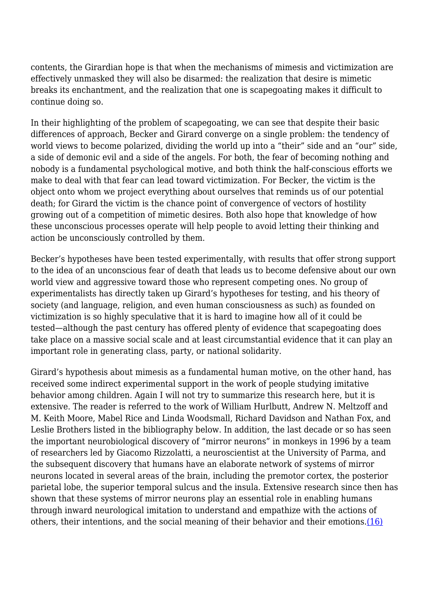contents, the Girardian hope is that when the mechanisms of mimesis and victimization are effectively unmasked they will also be disarmed: the realization that desire is mimetic breaks its enchantment, and the realization that one is scapegoating makes it difficult to continue doing so.

In their highlighting of the problem of scapegoating, we can see that despite their basic differences of approach, Becker and Girard converge on a single problem: the tendency of world views to become polarized, dividing the world up into a "their" side and an "our" side, a side of demonic evil and a side of the angels. For both, the fear of becoming nothing and nobody is a fundamental psychological motive, and both think the half-conscious efforts we make to deal with that fear can lead toward victimization. For Becker, the victim is the object onto whom we project everything about ourselves that reminds us of our potential death; for Girard the victim is the chance point of convergence of vectors of hostility growing out of a competition of mimetic desires. Both also hope that knowledge of how these unconscious processes operate will help people to avoid letting their thinking and action be unconsciously controlled by them.

Becker's hypotheses have been tested experimentally, with results that offer strong support to the idea of an unconscious fear of death that leads us to become defensive about our own world view and aggressive toward those who represent competing ones. No group of experimentalists has directly taken up Girard's hypotheses for testing, and his theory of society (and language, religion, and even human consciousness as such) as founded on victimization is so highly speculative that it is hard to imagine how all of it could be tested—although the past century has offered plenty of evidence that scapegoating does take place on a massive social scale and at least circumstantial evidence that it can play an important role in generating class, party, or national solidarity.

Girard's hypothesis about mimesis as a fundamental human motive, on the other hand, has received some indirect experimental support in the work of people studying imitative behavior among children. Again I will not try to summarize this research here, but it is extensive. The reader is referred to the work of William Hurlbutt, Andrew N. Meltzoff and M. Keith Moore, Mabel Rice and Linda Woodsmall, Richard Davidson and Nathan Fox, and Leslie Brothers listed in the bibliography below. In addition, the last decade or so has seen the important neurobiological discovery of "mirror neurons" in monkeys in 1996 by a team of researchers led by Giacomo Rizzolatti, a neuroscientist at the University of Parma, and the subsequent discovery that humans have an elaborate network of systems of mirror neurons located in several areas of the brain, including the premotor cortex, the posterior parietal lobe, the superior temporal sulcus and the insula. Extensive research since then has shown that these systems of mirror neurons play an essential role in enabling humans through inward neurological imitation to understand and empathize with the actions of others, their intentions, and the social meaning of their behavior and their emotions.[\(16\)](http://anthropoetics.ucla.edu/ap1201/webb06rev#n16)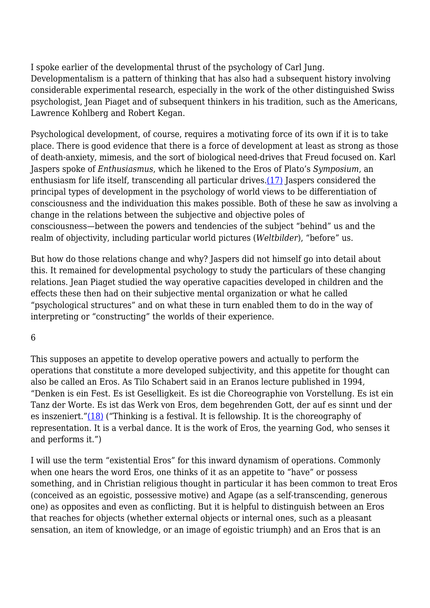I spoke earlier of the developmental thrust of the psychology of Carl Jung. Developmentalism is a pattern of thinking that has also had a subsequent history involving considerable experimental research, especially in the work of the other distinguished Swiss psychologist, Jean Piaget and of subsequent thinkers in his tradition, such as the Americans, Lawrence Kohlberg and Robert Kegan.

Psychological development, of course, requires a motivating force of its own if it is to take place. There is good evidence that there is a force of development at least as strong as those of death-anxiety, mimesis, and the sort of biological need-drives that Freud focused on. Karl Jaspers spoke of *Enthusiasmus*, which he likened to the Eros of Plato's *Symposium*, an enthusiasm for life itself, transcending all particular drives.[\(17\)](http://anthropoetics.ucla.edu/ap1201/webb06rev#n17) Jaspers considered the principal types of development in the psychology of world views to be differentiation of consciousness and the individuation this makes possible. Both of these he saw as involving a change in the relations between the subjective and objective poles of consciousness—between the powers and tendencies of the subject "behind" us and the realm of objectivity, including particular world pictures (*Weltbilder*), "before" us.

But how do those relations change and why? Jaspers did not himself go into detail about this. It remained for developmental psychology to study the particulars of these changing relations. Jean Piaget studied the way operative capacities developed in children and the effects these then had on their subjective mental organization or what he called "psychological structures" and on what these in turn enabled them to do in the way of interpreting or "constructing" the worlds of their experience.

### 6

This supposes an appetite to develop operative powers and actually to perform the operations that constitute a more developed subjectivity, and this appetite for thought can also be called an Eros. As Tilo Schabert said in an Eranos lecture published in 1994, "Denken is ein Fest. Es ist Geselligkeit. Es ist die Choreographie von Vorstellung. Es ist ein Tanz der Worte. Es ist das Werk von Eros, dem begehrenden Gott, der auf es sinnt und der es inszeniert.["\(18\)](http://anthropoetics.ucla.edu/ap1201/webb06rev#n18) ("Thinking is a festival. It is fellowship. It is the choreography of representation. It is a verbal dance. It is the work of Eros, the yearning God, who senses it and performs it.")

I will use the term "existential Eros" for this inward dynamism of operations. Commonly when one hears the word Eros, one thinks of it as an appetite to "have" or possess something, and in Christian religious thought in particular it has been common to treat Eros (conceived as an egoistic, possessive motive) and Agape (as a self-transcending, generous one) as opposites and even as conflicting. But it is helpful to distinguish between an Eros that reaches for objects (whether external objects or internal ones, such as a pleasant sensation, an item of knowledge, or an image of egoistic triumph) and an Eros that is an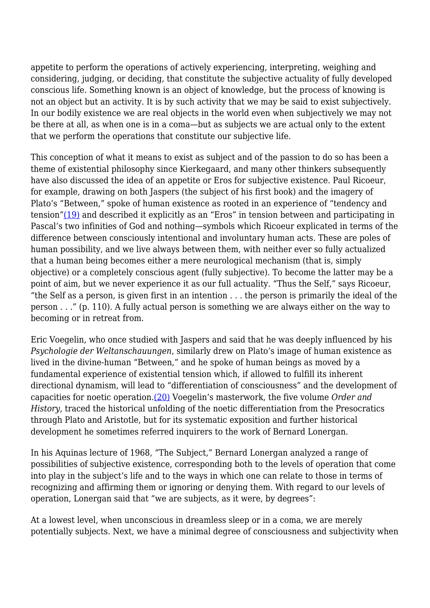appetite to perform the operations of actively experiencing, interpreting, weighing and considering, judging, or deciding, that constitute the subjective actuality of fully developed conscious life. Something known is an object of knowledge, but the process of knowing is not an object but an activity. It is by such activity that we may be said to exist subjectively. In our bodily existence we are real objects in the world even when subjectively we may not be there at all, as when one is in a coma—but as subjects we are actual only to the extent that we perform the operations that constitute our subjective life.

This conception of what it means to exist as subject and of the passion to do so has been a theme of existential philosophy since Kierkegaard, and many other thinkers subsequently have also discussed the idea of an appetite or Eros for subjective existence. Paul Ricoeur, for example, drawing on both Jaspers (the subject of his first book) and the imagery of Plato's "Between," spoke of human existence as rooted in an experience of "tendency and tension["\(19\)](http://anthropoetics.ucla.edu/ap1201/webb06rev#n19) and described it explicitly as an "Eros" in tension between and participating in Pascal's two infinities of God and nothing—symbols which Ricoeur explicated in terms of the difference between consciously intentional and involuntary human acts. These are poles of human possibility, and we live always between them, with neither ever so fully actualized that a human being becomes either a mere neurological mechanism (that is, simply objective) or a completely conscious agent (fully subjective). To become the latter may be a point of aim, but we never experience it as our full actuality. "Thus the Self," says Ricoeur, "the Self as a person, is given first in an intention . . . the person is primarily the ideal of the person . . ." (p. 110). A fully actual person is something we are always either on the way to becoming or in retreat from.

Eric Voegelin, who once studied with Jaspers and said that he was deeply influenced by his *Psychologie der Weltanschauungen*, similarly drew on Plato's image of human existence as lived in the divine-human "Between," and he spoke of human beings as moved by a fundamental experience of existential tension which, if allowed to fulfill its inherent directional dynamism, will lead to "differentiation of consciousness" and the development of capacities for noetic operation[.\(20\)](http://anthropoetics.ucla.edu/ap1201/webb06rev#n20) Voegelin's masterwork, the five volume *Order and History*, traced the historical unfolding of the noetic differentiation from the Presocratics through Plato and Aristotle, but for its systematic exposition and further historical development he sometimes referred inquirers to the work of Bernard Lonergan.

In his Aquinas lecture of 1968, "The Subject," Bernard Lonergan analyzed a range of possibilities of subjective existence, corresponding both to the levels of operation that come into play in the subject's life and to the ways in which one can relate to those in terms of recognizing and affirming them or ignoring or denying them. With regard to our levels of operation, Lonergan said that "we are subjects, as it were, by degrees":

At a lowest level, when unconscious in dreamless sleep or in a coma, we are merely potentially subjects. Next, we have a minimal degree of consciousness and subjectivity when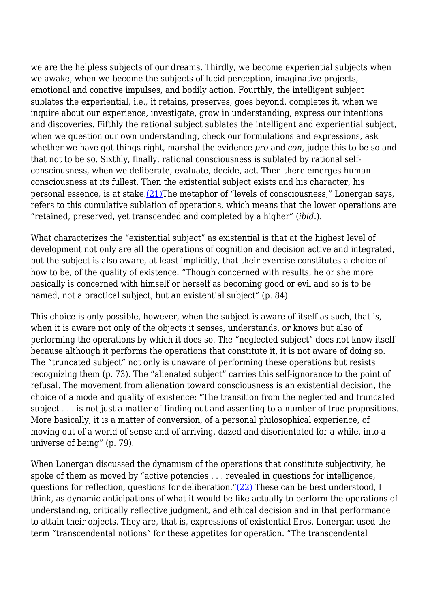we are the helpless subjects of our dreams. Thirdly, we become experiential subjects when we awake, when we become the subjects of lucid perception, imaginative projects, emotional and conative impulses, and bodily action. Fourthly, the intelligent subject sublates the experiential, i.e., it retains, preserves, goes beyond, completes it, when we inquire about our experience, investigate, grow in understanding, express our intentions and discoveries. Fifthly the rational subject sublates the intelligent and experiential subject, when we question our own understanding, check our formulations and expressions, ask whether we have got things right, marshal the evidence *pro* and *con*, judge this to be so and that not to be so. Sixthly, finally, rational consciousness is sublated by rational selfconsciousness, when we deliberate, evaluate, decide, act. Then there emerges human consciousness at its fullest. Then the existential subject exists and his character, his personal essence, is at stake. $(21)$ The metaphor of "levels of consciousness," Lonergan says, refers to this cumulative sublation of operations, which means that the lower operations are "retained, preserved, yet transcended and completed by a higher" (*ibid*.).

What characterizes the "existential subject" as existential is that at the highest level of development not only are all the operations of cognition and decision active and integrated, but the subject is also aware, at least implicitly, that their exercise constitutes a choice of how to be, of the quality of existence: "Though concerned with results, he or she more basically is concerned with himself or herself as becoming good or evil and so is to be named, not a practical subject, but an existential subject" (p. 84).

This choice is only possible, however, when the subject is aware of itself as such, that is, when it is aware not only of the objects it senses, understands, or knows but also of performing the operations by which it does so. The "neglected subject" does not know itself because although it performs the operations that constitute it, it is not aware of doing so. The "truncated subject" not only is unaware of performing these operations but resists recognizing them (p. 73). The "alienated subject" carries this self-ignorance to the point of refusal. The movement from alienation toward consciousness is an existential decision, the choice of a mode and quality of existence: "The transition from the neglected and truncated subject . . . is not just a matter of finding out and assenting to a number of true propositions. More basically, it is a matter of conversion, of a personal philosophical experience, of moving out of a world of sense and of arriving, dazed and disorientated for a while, into a universe of being" (p. 79).

When Lonergan discussed the dynamism of the operations that constitute subjectivity, he spoke of them as moved by "active potencies . . . revealed in questions for intelligence, questions for reflection, questions for deliberation." $(22)$  These can be best understood, I think, as dynamic anticipations of what it would be like actually to perform the operations of understanding, critically reflective judgment, and ethical decision and in that performance to attain their objects. They are, that is, expressions of existential Eros. Lonergan used the term "transcendental notions" for these appetites for operation. "The transcendental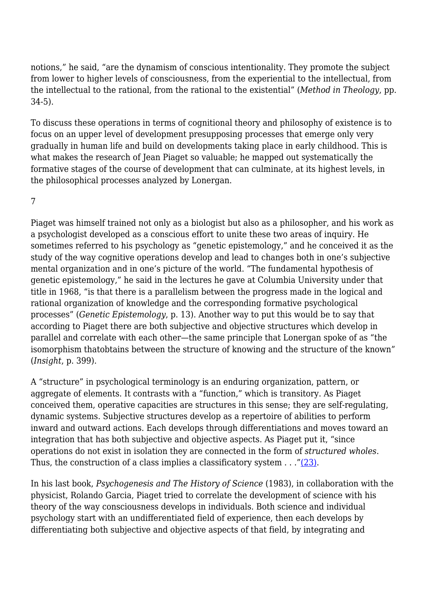notions," he said, "are the dynamism of conscious intentionality. They promote the subject from lower to higher levels of consciousness, from the experiential to the intellectual, from the intellectual to the rational, from the rational to the existential" (*Method in Theology*, pp. 34-5).

To discuss these operations in terms of cognitional theory and philosophy of existence is to focus on an upper level of development presupposing processes that emerge only very gradually in human life and build on developments taking place in early childhood. This is what makes the research of Jean Piaget so valuable; he mapped out systematically the formative stages of the course of development that can culminate, at its highest levels, in the philosophical processes analyzed by Lonergan.

7

Piaget was himself trained not only as a biologist but also as a philosopher, and his work as a psychologist developed as a conscious effort to unite these two areas of inquiry. He sometimes referred to his psychology as "genetic epistemology," and he conceived it as the study of the way cognitive operations develop and lead to changes both in one's subjective mental organization and in one's picture of the world. "The fundamental hypothesis of genetic epistemology," he said in the lectures he gave at Columbia University under that title in 1968, "is that there is a parallelism between the progress made in the logical and rational organization of knowledge and the corresponding formative psychological processes" (*Genetic Epistemology*, p. 13). Another way to put this would be to say that according to Piaget there are both subjective and objective structures which develop in parallel and correlate with each other—the same principle that Lonergan spoke of as "the isomorphism thatobtains between the structure of knowing and the structure of the known" (*Insight*, p. 399).

A "structure" in psychological terminology is an enduring organization, pattern, or aggregate of elements. It contrasts with a "function," which is transitory. As Piaget conceived them, operative capacities are structures in this sense; they are self-regulating, dynamic systems. Subjective structures develop as a repertoire of abilities to perform inward and outward actions. Each develops through differentiations and moves toward an integration that has both subjective and objective aspects. As Piaget put it, "since operations do not exist in isolation they are connected in the form of *structured wholes*. Thus, the construction of a class implies a classificatory system . . .["\(23\).](http://anthropoetics.ucla.edu/ap1201/webb06rev#n23)

In his last book, *Psychogenesis and The History of Science* (1983), in collaboration with the physicist, Rolando Garcia, Piaget tried to correlate the development of science with his theory of the way consciousness develops in individuals. Both science and individual psychology start with an undifferentiated field of experience, then each develops by differentiating both subjective and objective aspects of that field, by integrating and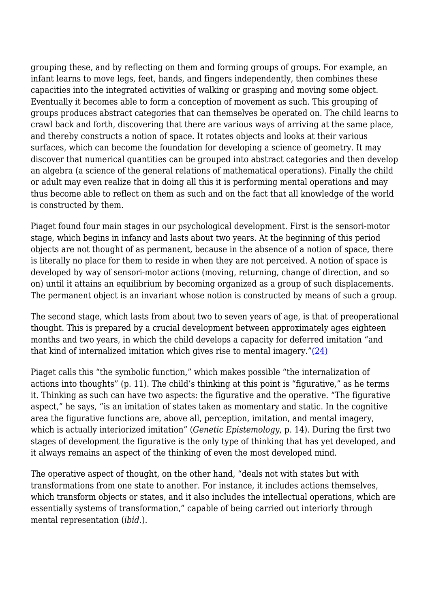grouping these, and by reflecting on them and forming groups of groups. For example, an infant learns to move legs, feet, hands, and fingers independently, then combines these capacities into the integrated activities of walking or grasping and moving some object. Eventually it becomes able to form a conception of movement as such. This grouping of groups produces abstract categories that can themselves be operated on. The child learns to crawl back and forth, discovering that there are various ways of arriving at the same place, and thereby constructs a notion of space. It rotates objects and looks at their various surfaces, which can become the foundation for developing a science of geometry. It may discover that numerical quantities can be grouped into abstract categories and then develop an algebra (a science of the general relations of mathematical operations). Finally the child or adult may even realize that in doing all this it is performing mental operations and may thus become able to reflect on them as such and on the fact that all knowledge of the world is constructed by them.

Piaget found four main stages in our psychological development. First is the sensori-motor stage, which begins in infancy and lasts about two years. At the beginning of this period objects are not thought of as permanent, because in the absence of a notion of space, there is literally no place for them to reside in when they are not perceived. A notion of space is developed by way of sensori-motor actions (moving, returning, change of direction, and so on) until it attains an equilibrium by becoming organized as a group of such displacements. The permanent object is an invariant whose notion is constructed by means of such a group.

The second stage, which lasts from about two to seven years of age, is that of preoperational thought. This is prepared by a crucial development between approximately ages eighteen months and two years, in which the child develops a capacity for deferred imitation "and that kind of internalized imitation which gives rise to mental imagery." $(24)$ 

Piaget calls this "the symbolic function," which makes possible "the internalization of actions into thoughts" (p. 11). The child's thinking at this point is "figurative," as he terms it. Thinking as such can have two aspects: the figurative and the operative. "The figurative aspect," he says, "is an imitation of states taken as momentary and static. In the cognitive area the figurative functions are, above all, perception, imitation, and mental imagery, which is actually interiorized imitation" (*Genetic Epistemology*, p. 14). During the first two stages of development the figurative is the only type of thinking that has yet developed, and it always remains an aspect of the thinking of even the most developed mind.

The operative aspect of thought, on the other hand, "deals not with states but with transformations from one state to another. For instance, it includes actions themselves, which transform objects or states, and it also includes the intellectual operations, which are essentially systems of transformation," capable of being carried out interiorly through mental representation (*ibid*.).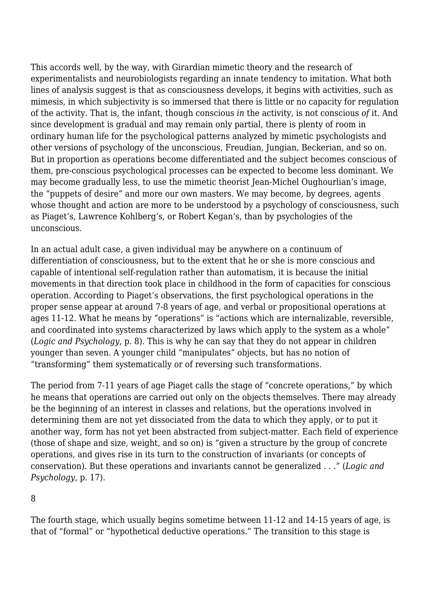This accords well, by the way, with Girardian mimetic theory and the research of experimentalists and neurobiologists regarding an innate tendency to imitation. What both lines of analysis suggest is that as consciousness develops, it begins with activities, such as mimesis, in which subjectivity is so immersed that there is little or no capacity for regulation of the activity. That is, the infant, though conscious *in* the activity, is not conscious *of* it. And since development is gradual and may remain only partial, there is plenty of room in ordinary human life for the psychological patterns analyzed by mimetic psychologists and other versions of psychology of the unconscious, Freudian, Jungian, Beckerian, and so on. But in proportion as operations become differentiated and the subject becomes conscious of them, pre-conscious psychological processes can be expected to become less dominant. We may become gradually less, to use the mimetic theorist Jean-Michel Oughourlian's image, the "puppets of desire" and more our own masters. We may become, by degrees, agents whose thought and action are more to be understood by a psychology of consciousness, such as Piaget's, Lawrence Kohlberg's, or Robert Kegan's, than by psychologies of the unconscious.

In an actual adult case, a given individual may be anywhere on a continuum of differentiation of consciousness, but to the extent that he or she is more conscious and capable of intentional self-regulation rather than automatism, it is because the initial movements in that direction took place in childhood in the form of capacities for conscious operation. According to Piaget's observations, the first psychological operations in the proper sense appear at around 7-8 years of age, and verbal or propositional operations at ages 11-12. What he means by "operations" is "actions which are internalizable, reversible, and coordinated into systems characterized by laws which apply to the system as a whole" (*Logic and Psychology*, p. 8). This is why he can say that they do not appear in children younger than seven. A younger child "manipulates" objects, but has no notion of "transforming" them systematically or of reversing such transformations.

The period from 7-11 years of age Piaget calls the stage of "concrete operations," by which he means that operations are carried out only on the objects themselves. There may already be the beginning of an interest in classes and relations, but the operations involved in determining them are not yet dissociated from the data to which they apply, or to put it another way, form has not yet been abstracted from subject-matter. Each field of experience (those of shape and size, weight, and so on) is "given a structure by the group of concrete operations, and gives rise in its turn to the construction of invariants (or concepts of conservation). But these operations and invariants cannot be generalized . . ." (*Logic and Psychology*, p. 17).

8

The fourth stage, which usually begins sometime between 11-12 and 14-15 years of age, is that of "formal" or "hypothetical deductive operations." The transition to this stage is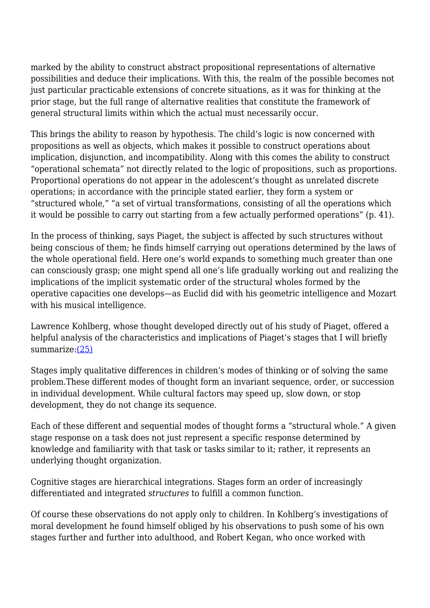marked by the ability to construct abstract propositional representations of alternative possibilities and deduce their implications. With this, the realm of the possible becomes not just particular practicable extensions of concrete situations, as it was for thinking at the prior stage, but the full range of alternative realities that constitute the framework of general structural limits within which the actual must necessarily occur.

This brings the ability to reason by hypothesis. The child's logic is now concerned with propositions as well as objects, which makes it possible to construct operations about implication, disjunction, and incompatibility. Along with this comes the ability to construct "operational schemata" not directly related to the logic of propositions, such as proportions. Proportional operations do not appear in the adolescent's thought as unrelated discrete operations; in accordance with the principle stated earlier, they form a system or "structured whole," "a set of virtual transformations, consisting of all the operations which it would be possible to carry out starting from a few actually performed operations" (p. 41).

In the process of thinking, says Piaget, the subject is affected by such structures without being conscious of them; he finds himself carrying out operations determined by the laws of the whole operational field. Here one's world expands to something much greater than one can consciously grasp; one might spend all one's life gradually working out and realizing the implications of the implicit systematic order of the structural wholes formed by the operative capacities one develops—as Euclid did with his geometric intelligence and Mozart with his musical intelligence.

Lawrence Kohlberg, whose thought developed directly out of his study of Piaget, offered a helpful analysis of the characteristics and implications of Piaget's stages that I will briefly summarize[:\(25\)](http://anthropoetics.ucla.edu/ap1201/webb06rev#n25)

Stages imply qualitative differences in children's modes of thinking or of solving the same problem.These different modes of thought form an invariant sequence, order, or succession in individual development. While cultural factors may speed up, slow down, or stop development, they do not change its sequence.

Each of these different and sequential modes of thought forms a "structural whole." A given stage response on a task does not just represent a specific response determined by knowledge and familiarity with that task or tasks similar to it; rather, it represents an underlying thought organization.

Cognitive stages are hierarchical integrations. Stages form an order of increasingly differentiated and integrated *structures* to fulfill a common function.

Of course these observations do not apply only to children. In Kohlberg's investigations of moral development he found himself obliged by his observations to push some of his own stages further and further into adulthood, and Robert Kegan, who once worked with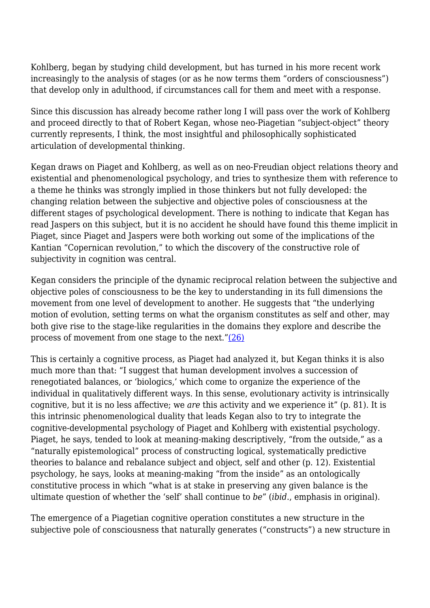Kohlberg, began by studying child development, but has turned in his more recent work increasingly to the analysis of stages (or as he now terms them "orders of consciousness") that develop only in adulthood, if circumstances call for them and meet with a response.

Since this discussion has already become rather long I will pass over the work of Kohlberg and proceed directly to that of Robert Kegan, whose neo-Piagetian "subject-object" theory currently represents, I think, the most insightful and philosophically sophisticated articulation of developmental thinking.

Kegan draws on Piaget and Kohlberg, as well as on neo-Freudian object relations theory and existential and phenomenological psychology, and tries to synthesize them with reference to a theme he thinks was strongly implied in those thinkers but not fully developed: the changing relation between the subjective and objective poles of consciousness at the different stages of psychological development. There is nothing to indicate that Kegan has read Jaspers on this subject, but it is no accident he should have found this theme implicit in Piaget, since Piaget and Jaspers were both working out some of the implications of the Kantian "Copernican revolution," to which the discovery of the constructive role of subjectivity in cognition was central.

Kegan considers the principle of the dynamic reciprocal relation between the subjective and objective poles of consciousness to be the key to understanding in its full dimensions the movement from one level of development to another. He suggests that "the underlying motion of evolution, setting terms on what the organism constitutes as self and other, may both give rise to the stage-like regularities in the domains they explore and describe the process of movement from one stage to the next.["\(26\)](http://anthropoetics.ucla.edu/ap1201/webb06rev#n26)

This is certainly a cognitive process, as Piaget had analyzed it, but Kegan thinks it is also much more than that: "I suggest that human development involves a succession of renegotiated balances, or 'biologics,' which come to organize the experience of the individual in qualitatively different ways. In this sense, evolutionary activity is intrinsically cognitive, but it is no less affective; we *are* this activity and we experience it" (p. 81). It is this intrinsic phenomenological duality that leads Kegan also to try to integrate the cognitive-developmental psychology of Piaget and Kohlberg with existential psychology. Piaget, he says, tended to look at meaning-making descriptively, "from the outside," as a "naturally epistemological" process of constructing logical, systematically predictive theories to balance and rebalance subject and object, self and other (p. 12). Existential psychology, he says, looks at meaning-making "from the inside" as an ontologically constitutive process in which "what is at stake in preserving any given balance is the ultimate question of whether the 'self' shall continue to *be*" (*ibid*., emphasis in original).

The emergence of a Piagetian cognitive operation constitutes a new structure in the subjective pole of consciousness that naturally generates ("constructs") a new structure in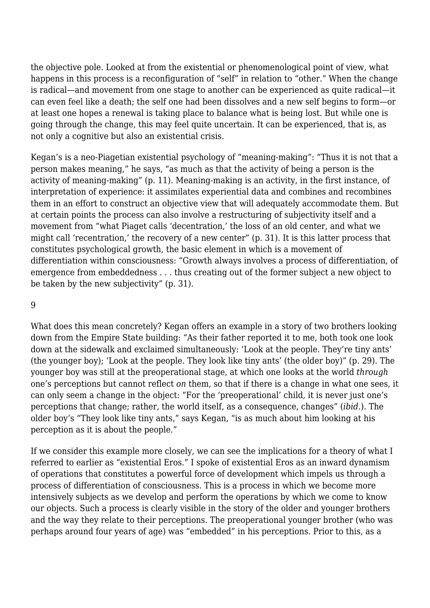the objective pole. Looked at from the existential or phenomenological point of view, what happens in this process is a reconfiguration of "self" in relation to "other." When the change is radical—and movement from one stage to another can be experienced as quite radical—it can even feel like a death; the self one had been dissolves and a new self begins to form—or at least one hopes a renewal is taking place to balance what is being lost. But while one is going through the change, this may feel quite uncertain. It can be experienced, that is, as not only a cognitive but also an existential crisis.

Kegan's is a neo-Piagetian existential psychology of "meaning-making": "Thus it is not that a person makes meaning," he says, "as much as that the activity of being a person is the activity of meaning-making" (p. 11). Meaning-making is an activity, in the first instance, of interpretation of experience: it assimilates experiential data and combines and recombines them in an effort to construct an objective view that will adequately accommodate them. But at certain points the process can also involve a restructuring of subjectivity itself and a movement from "what Piaget calls 'decentration,' the loss of an old center, and what we might call 'recentration,' the recovery of a new center" (p. 31). It is this latter process that constitutes psychological growth, the basic element in which is a movement of differentiation within consciousness: "Growth always involves a process of differentiation, of emergence from embeddedness . . . thus creating out of the former subject a new object to be taken by the new subjectivity" (p. 31).

#### 9

What does this mean concretely? Kegan offers an example in a story of two brothers looking down from the Empire State building: "As their father reported it to me, both took one look down at the sidewalk and exclaimed simultaneously: 'Look at the people. They're tiny ants' (the younger boy); 'Look at the people. They look like tiny ants' (the older boy)" (p. 29). The younger boy was still at the preoperational stage, at which one looks at the world *through* one's perceptions but cannot reflect *on* them, so that if there is a change in what one sees, it can only seem a change in the object: "For the 'preoperational' child, it is never just one's perceptions that change; rather, the world itself, as a consequence, changes" (*ibid*.). The older boy's "They look like tiny ants," says Kegan, "is as much about him looking at his perception as it is about the people."

If we consider this example more closely, we can see the implications for a theory of what I referred to earlier as "existential Eros." I spoke of existential Eros as an inward dynamism of operations that constitutes a powerful force of development which impels us through a process of differentiation of consciousness. This is a process in which we become more intensively subjects as we develop and perform the operations by which we come to know our objects. Such a process is clearly visible in the story of the older and younger brothers and the way they relate to their perceptions. The preoperational younger brother (who was perhaps around four years of age) was "embedded" in his perceptions. Prior to this, as a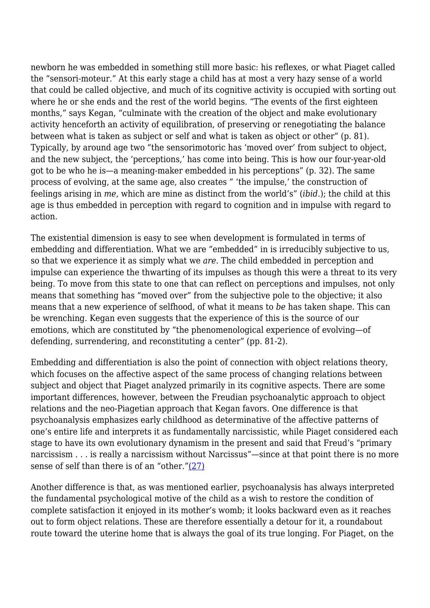newborn he was embedded in something still more basic: his reflexes, or what Piaget called the "sensori-moteur." At this early stage a child has at most a very hazy sense of a world that could be called objective, and much of its cognitive activity is occupied with sorting out where he or she ends and the rest of the world begins. "The events of the first eighteen months," says Kegan, "culminate with the creation of the object and make evolutionary activity henceforth an activity of equilibration, of preserving or renegotiating the balance between what is taken as subject or self and what is taken as object or other" (p. 81). Typically, by around age two "the sensorimotoric has 'moved over' from subject to object, and the new subject, the 'perceptions,' has come into being. This is how our four-year-old got to be who he is—a meaning-maker embedded in his perceptions" (p. 32). The same process of evolving, at the same age, also creates " 'the impulse,' the construction of feelings arising in *me*, which are mine as distinct from the world's" (*ibid*.); the child at this age is thus embedded in perception with regard to cognition and in impulse with regard to action.

The existential dimension is easy to see when development is formulated in terms of embedding and differentiation. What we are "embedded" in is irreducibly subjective to us, so that we experience it as simply what we *are*. The child embedded in perception and impulse can experience the thwarting of its impulses as though this were a threat to its very being. To move from this state to one that can reflect on perceptions and impulses, not only means that something has "moved over" from the subjective pole to the objective; it also means that a new experience of selfhood, of what it means to *be* has taken shape. This can be wrenching. Kegan even suggests that the experience of this is the source of our emotions, which are constituted by "the phenomenological experience of evolving—of defending, surrendering, and reconstituting a center" (pp. 81-2).

Embedding and differentiation is also the point of connection with object relations theory, which focuses on the affective aspect of the same process of changing relations between subject and object that Piaget analyzed primarily in its cognitive aspects. There are some important differences, however, between the Freudian psychoanalytic approach to object relations and the neo-Piagetian approach that Kegan favors. One difference is that psychoanalysis emphasizes early childhood as determinative of the affective patterns of one's entire life and interprets it as fundamentally narcissistic, while Piaget considered each stage to have its own evolutionary dynamism in the present and said that Freud's "primary narcissism . . . is really a narcissism without Narcissus"—since at that point there is no more sense of self than there is of an "other.["\(27\)](http://anthropoetics.ucla.edu/ap1201/webb06rev#n27)

Another difference is that, as was mentioned earlier, psychoanalysis has always interpreted the fundamental psychological motive of the child as a wish to restore the condition of complete satisfaction it enjoyed in its mother's womb; it looks backward even as it reaches out to form object relations. These are therefore essentially a detour for it, a roundabout route toward the uterine home that is always the goal of its true longing. For Piaget, on the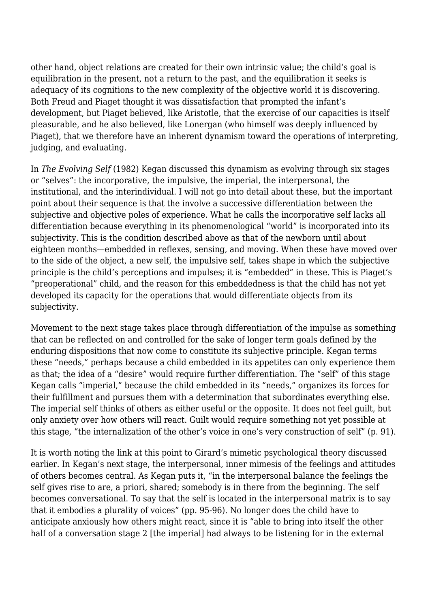other hand, object relations are created for their own intrinsic value; the child's goal is equilibration in the present, not a return to the past, and the equilibration it seeks is adequacy of its cognitions to the new complexity of the objective world it is discovering. Both Freud and Piaget thought it was dissatisfaction that prompted the infant's development, but Piaget believed, like Aristotle, that the exercise of our capacities is itself pleasurable, and he also believed, like Lonergan (who himself was deeply influenced by Piaget), that we therefore have an inherent dynamism toward the operations of interpreting, judging, and evaluating.

In *The Evolving Self* (1982) Kegan discussed this dynamism as evolving through six stages or "selves": the incorporative, the impulsive, the imperial, the interpersonal, the institutional, and the interindividual. I will not go into detail about these, but the important point about their sequence is that the involve a successive differentiation between the subjective and objective poles of experience. What he calls the incorporative self lacks all differentiation because everything in its phenomenological "world" is incorporated into its subjectivity. This is the condition described above as that of the newborn until about eighteen months—embedded in reflexes, sensing, and moving. When these have moved over to the side of the object, a new self, the impulsive self, takes shape in which the subjective principle is the child's perceptions and impulses; it is "embedded" in these. This is Piaget's "preoperational" child, and the reason for this embeddedness is that the child has not yet developed its capacity for the operations that would differentiate objects from its subjectivity.

Movement to the next stage takes place through differentiation of the impulse as something that can be reflected on and controlled for the sake of longer term goals defined by the enduring dispositions that now come to constitute its subjective principle. Kegan terms these "needs," perhaps because a child embedded in its appetites can only experience them as that; the idea of a "desire" would require further differentiation. The "self" of this stage Kegan calls "imperial," because the child embedded in its "needs," organizes its forces for their fulfillment and pursues them with a determination that subordinates everything else. The imperial self thinks of others as either useful or the opposite. It does not feel guilt, but only anxiety over how others will react. Guilt would require something not yet possible at this stage, "the internalization of the other's voice in one's very construction of self" (p. 91).

It is worth noting the link at this point to Girard's mimetic psychological theory discussed earlier. In Kegan's next stage, the interpersonal, inner mimesis of the feelings and attitudes of others becomes central. As Kegan puts it, "in the interpersonal balance the feelings the self gives rise to are, a priori, shared; somebody is in there from the beginning. The self becomes conversational. To say that the self is located in the interpersonal matrix is to say that it embodies a plurality of voices" (pp. 95-96). No longer does the child have to anticipate anxiously how others might react, since it is "able to bring into itself the other half of a conversation stage 2 [the imperial] had always to be listening for in the external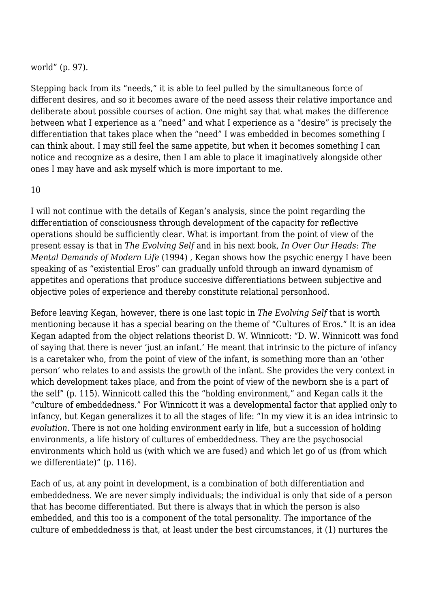### world" (p. 97).

Stepping back from its "needs," it is able to feel pulled by the simultaneous force of different desires, and so it becomes aware of the need assess their relative importance and deliberate about possible courses of action. One might say that what makes the difference between what I experience as a "need" and what I experience as a "desire" is precisely the differentiation that takes place when the "need" I was embedded in becomes something I can think about. I may still feel the same appetite, but when it becomes something I can notice and recognize as a desire, then I am able to place it imaginatively alongside other ones I may have and ask myself which is more important to me.

#### 10

I will not continue with the details of Kegan's analysis, since the point regarding the differentiation of consciousness through development of the capacity for reflective operations should be sufficiently clear. What is important from the point of view of the present essay is that in *The Evolving Self* and in his next book, *In Over Our Heads: The Mental Demands of Modern Life* (1994) , Kegan shows how the psychic energy I have been speaking of as "existential Eros" can gradually unfold through an inward dynamism of appetites and operations that produce succesive differentiations between subjective and objective poles of experience and thereby constitute relational personhood.

Before leaving Kegan, however, there is one last topic in *The Evolving Self* that is worth mentioning because it has a special bearing on the theme of "Cultures of Eros." It is an idea Kegan adapted from the object relations theorist D. W. Winnicott: "D. W. Winnicott was fond of saying that there is never 'just an infant.' He meant that intrinsic to the picture of infancy is a caretaker who, from the point of view of the infant, is something more than an 'other person' who relates to and assists the growth of the infant. She provides the very context in which development takes place, and from the point of view of the newborn she is a part of the self" (p. 115). Winnicott called this the "holding environment," and Kegan calls it the "culture of embeddedness." For Winnicott it was a developmental factor that applied only to infancy, but Kegan generalizes it to all the stages of life: "In my view it is an idea intrinsic to *evolution*. There is not one holding environment early in life, but a succession of holding environments, a life history of cultures of embeddedness. They are the psychosocial environments which hold us (with which we are fused) and which let go of us (from which we differentiate)" (p. 116).

Each of us, at any point in development, is a combination of both differentiation and embeddedness. We are never simply individuals; the individual is only that side of a person that has become differentiated. But there is always that in which the person is also embedded, and this too is a component of the total personality. The importance of the culture of embeddedness is that, at least under the best circumstances, it (1) nurtures the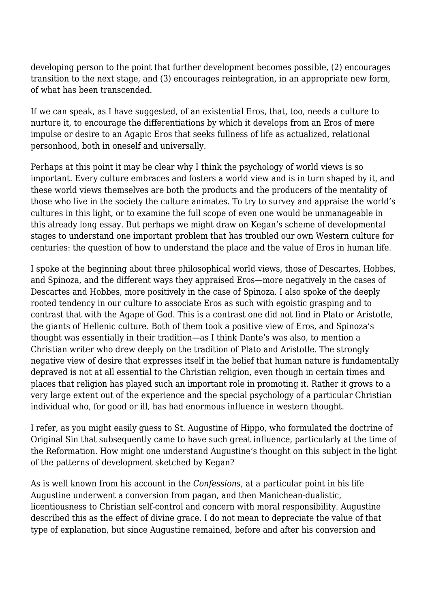developing person to the point that further development becomes possible, (2) encourages transition to the next stage, and (3) encourages reintegration, in an appropriate new form, of what has been transcended.

If we can speak, as I have suggested, of an existential Eros, that, too, needs a culture to nurture it, to encourage the differentiations by which it develops from an Eros of mere impulse or desire to an Agapic Eros that seeks fullness of life as actualized, relational personhood, both in oneself and universally.

Perhaps at this point it may be clear why I think the psychology of world views is so important. Every culture embraces and fosters a world view and is in turn shaped by it, and these world views themselves are both the products and the producers of the mentality of those who live in the society the culture animates. To try to survey and appraise the world's cultures in this light, or to examine the full scope of even one would be unmanageable in this already long essay. But perhaps we might draw on Kegan's scheme of developmental stages to understand one important problem that has troubled our own Western culture for centuries: the question of how to understand the place and the value of Eros in human life.

I spoke at the beginning about three philosophical world views, those of Descartes, Hobbes, and Spinoza, and the different ways they appraised Eros—more negatively in the cases of Descartes and Hobbes, more positively in the case of Spinoza. I also spoke of the deeply rooted tendency in our culture to associate Eros as such with egoistic grasping and to contrast that with the Agape of God. This is a contrast one did not find in Plato or Aristotle, the giants of Hellenic culture. Both of them took a positive view of Eros, and Spinoza's thought was essentially in their tradition—as I think Dante's was also, to mention a Christian writer who drew deeply on the tradition of Plato and Aristotle. The strongly negative view of desire that expresses itself in the belief that human nature is fundamentally depraved is not at all essential to the Christian religion, even though in certain times and places that religion has played such an important role in promoting it. Rather it grows to a very large extent out of the experience and the special psychology of a particular Christian individual who, for good or ill, has had enormous influence in western thought.

I refer, as you might easily guess to St. Augustine of Hippo, who formulated the doctrine of Original Sin that subsequently came to have such great influence, particularly at the time of the Reformation. How might one understand Augustine's thought on this subject in the light of the patterns of development sketched by Kegan?

As is well known from his account in the *Confessions*, at a particular point in his life Augustine underwent a conversion from pagan, and then Manichean-dualistic, licentiousness to Christian self-control and concern with moral responsibility. Augustine described this as the effect of divine grace. I do not mean to depreciate the value of that type of explanation, but since Augustine remained, before and after his conversion and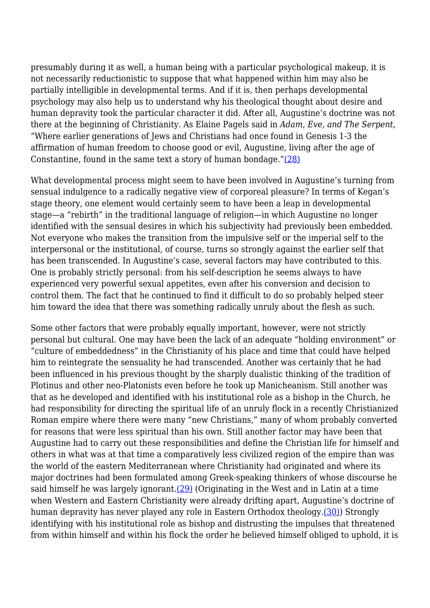presumably during it as well, a human being with a particular psychological makeup, it is not necessarily reductionistic to suppose that what happened within him may also be partially intelligible in developmental terms. And if it is, then perhaps developmental psychology may also help us to understand why his theological thought about desire and human depravity took the particular character it did. After all, Augustine's doctrine was not there at the beginning of Christianity. As Elaine Pagels said in *Adam, Eve, and The Serpent*, "Where earlier generations of Jews and Christians had once found in Genesis 1-3 the affirmation of human freedom to choose good or evil, Augustine, living after the age of Constantine, found in the same text a story of human bondage."[\(28\)](http://anthropoetics.ucla.edu/ap1201/webb06rev#n28)

What developmental process might seem to have been involved in Augustine's turning from sensual indulgence to a radically negative view of corporeal pleasure? In terms of Kegan's stage theory, one element would certainly seem to have been a leap in developmental stage—a "rebirth" in the traditional language of religion—in which Augustine no longer identified with the sensual desires in which his subjectivity had previously been embedded. Not everyone who makes the transition from the impulsive self or the imperial self to the interpersonal or the institutional, of course, turns so strongly against the earlier self that has been transcended. In Augustine's case, several factors may have contributed to this. One is probably strictly personal: from his self-description he seems always to have experienced very powerful sexual appetites, even after his conversion and decision to control them. The fact that he continued to find it difficult to do so probably helped steer him toward the idea that there was something radically unruly about the flesh as such.

Some other factors that were probably equally important, however, were not strictly personal but cultural. One may have been the lack of an adequate "holding environment" or "culture of embeddedness" in the Christianity of his place and time that could have helped him to reintegrate the sensuality he had transcended. Another was certainly that he had been influenced in his previous thought by the sharply dualistic thinking of the tradition of Plotinus and other neo-Platonists even before he took up Manicheanism. Still another was that as he developed and identified with his institutional role as a bishop in the Church, he had responsibility for directing the spiritual life of an unruly flock in a recently Christianized Roman empire where there were many "new Christians," many of whom probably converted for reasons that were less spiritual than his own. Still another factor may have been that Augustine had to carry out these responsibilities and define the Christian life for himself and others in what was at that time a comparatively less civilized region of the empire than was the world of the eastern Mediterranean where Christianity had originated and where its major doctrines had been formulated among Greek-speaking thinkers of whose discourse he said himself he was largely ignorant. $(29)$  (Originating in the West and in Latin at a time when Western and Eastern Christianity were already drifting apart, Augustine's doctrine of human depravity has never played any role in Eastern Orthodox theology[.\(30\)](http://anthropoetics.ucla.edu/ap1201/webb06rev#n30)) Strongly identifying with his institutional role as bishop and distrusting the impulses that threatened from within himself and within his flock the order he believed himself obliged to uphold, it is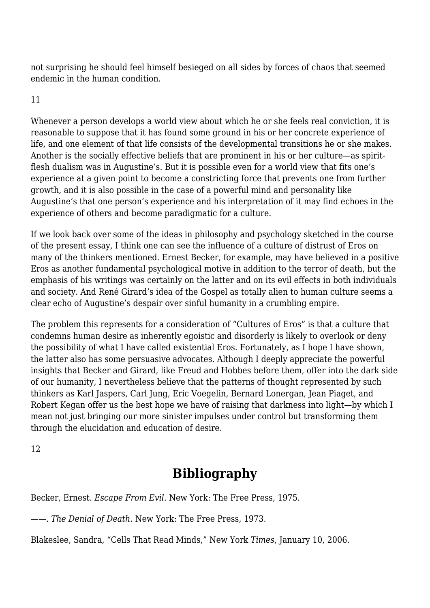not surprising he should feel himself besieged on all sides by forces of chaos that seemed endemic in the human condition.

## 11

Whenever a person develops a world view about which he or she feels real conviction, it is reasonable to suppose that it has found some ground in his or her concrete experience of life, and one element of that life consists of the developmental transitions he or she makes. Another is the socially effective beliefs that are prominent in his or her culture—as spiritflesh dualism was in Augustine's. But it is possible even for a world view that fits one's experience at a given point to become a constricting force that prevents one from further growth, and it is also possible in the case of a powerful mind and personality like Augustine's that one person's experience and his interpretation of it may find echoes in the experience of others and become paradigmatic for a culture.

If we look back over some of the ideas in philosophy and psychology sketched in the course of the present essay, I think one can see the influence of a culture of distrust of Eros on many of the thinkers mentioned. Ernest Becker, for example, may have believed in a positive Eros as another fundamental psychological motive in addition to the terror of death, but the emphasis of his writings was certainly on the latter and on its evil effects in both individuals and society. And René Girard's idea of the Gospel as totally alien to human culture seems a clear echo of Augustine's despair over sinful humanity in a crumbling empire.

The problem this represents for a consideration of "Cultures of Eros" is that a culture that condemns human desire as inherently egoistic and disorderly is likely to overlook or deny the possibility of what I have called existential Eros. Fortunately, as I hope I have shown, the latter also has some persuasive advocates. Although I deeply appreciate the powerful insights that Becker and Girard, like Freud and Hobbes before them, offer into the dark side of our humanity, I nevertheless believe that the patterns of thought represented by such thinkers as Karl Jaspers, Carl Jung, Eric Voegelin, Bernard Lonergan, Jean Piaget, and Robert Kegan offer us the best hope we have of raising that darkness into light—by which I mean not just bringing our more sinister impulses under control but transforming them through the elucidation and education of desire.

12

# **Bibliography**

Becker, Ernest. *Escape From Evil*. New York: The Free Press, 1975.

——. *The Denial of Death*. New York: The Free Press, 1973.

Blakeslee, Sandra, "Cells That Read Minds," New York *Times*, January 10, 2006.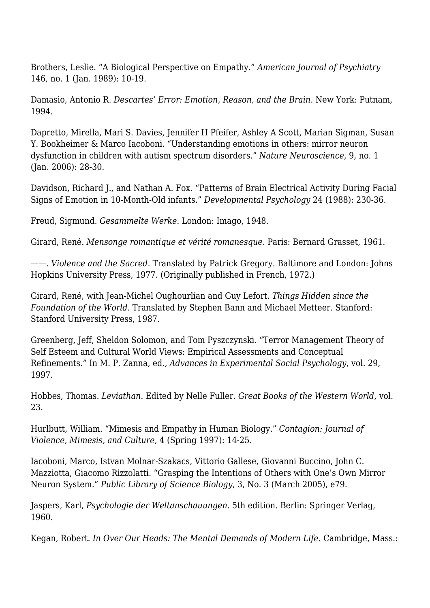Brothers, Leslie. "A Biological Perspective on Empathy." *American Journal of Psychiatry* 146, no. 1 (Jan. 1989): 10-19.

Damasio, Antonio R. *Descartes' Error: Emotion, Reason, and the Brain*. New York: Putnam, 1994.

Dapretto, Mirella, Mari S. Davies, Jennifer H Pfeifer, Ashley A Scott, Marian Sigman, Susan Y. Bookheimer & Marco Iacoboni. "Understanding emotions in others: mirror neuron dysfunction in children with autism spectrum disorders." *Nature Neuroscience*, 9, no. 1 (Jan. 2006): 28-30.

Davidson, Richard J., and Nathan A. Fox. "Patterns of Brain Electrical Activity During Facial Signs of Emotion in 10-Month-Old infants." *Developmental Psychology* 24 (1988): 230-36.

Freud, Sigmund. *Gesammelte Werke*. London: Imago, 1948.

Girard, René. *Mensonge romantique et vérité romanesque*. Paris: Bernard Grasset, 1961.

——. *Violence and the Sacred*. Translated by Patrick Gregory. Baltimore and London: Johns Hopkins University Press, 1977. (Originally published in French, 1972.)

Girard, René, with Jean-Michel Oughourlian and Guy Lefort. *Things Hidden since the Foundation of the World*. Translated by Stephen Bann and Michael Metteer. Stanford: Stanford University Press, 1987.

Greenberg, Jeff, Sheldon Solomon, and Tom Pyszczynski. "Terror Management Theory of Self Esteem and Cultural World Views: Empirical Assessments and Conceptual Refinements." In M. P. Zanna, ed., *Advances in Experimental Social Psychology*, vol. 29, 1997.

Hobbes, Thomas. *Leviathan*. Edited by Nelle Fuller. *Great Books of the Western World*, vol. 23.

Hurlbutt, William. "Mimesis and Empathy in Human Biology." *Contagion: Journal of Violence, Mimesis, and Culture*, 4 (Spring 1997): 14-25.

Iacoboni, Marco, Istvan Molnar-Szakacs, Vittorio Gallese, Giovanni Buccino, John C. Mazziotta, Giacomo Rizzolatti. "Grasping the Intentions of Others with One's Own Mirror Neuron System." *Public Library of Science Biology*, 3, No. 3 (March 2005), e79.

Jaspers, Karl, *Psychologie der Weltanschauungen*. 5th edition. Berlin: Springer Verlag, 1960.

Kegan, Robert. *In Over Our Heads: The Mental Demands of Modern Life*. Cambridge, Mass.: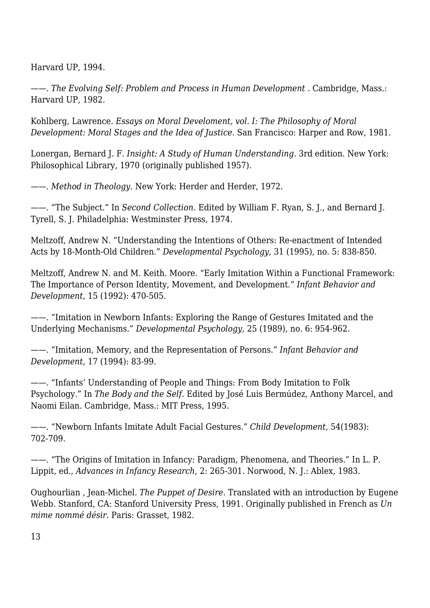Harvard UP, 1994.

——. *The Evolving Self: Problem and Process in Human Development* . Cambridge, Mass.: Harvard UP, 1982.

Kohlberg, Lawrence. *Essays on Moral Develoment, vol. I: The Philosophy of Moral Development: Moral Stages and the Idea of Justice*. San Francisco: Harper and Row, 1981.

Lonergan, Bernard J. F. *Insight: A Study of Human Understanding*. 3rd edition. New York: Philosophical Library, 1970 (originally published 1957).

——. *Method in Theology.* New York: Herder and Herder, 1972.

——. "The Subject." In *Second Collection.* Edited by William F. Ryan, S. J., and Bernard J. Tyrell, S. J. Philadelphia: Westminster Press, 1974.

Meltzoff, Andrew N. "Understanding the Intentions of Others: Re-enactment of Intended Acts by 18-Month-Old Children." *Developmental Psychology*, 31 (1995), no. 5: 838-850.

Meltzoff, Andrew N. and M. Keith. Moore. "Early Imitation Within a Functional Framework: The Importance of Person Identity, Movement, and Development." *Infant Behavior and Development*, 15 (1992): 470-505.

——. "Imitation in Newborn Infants: Exploring the Range of Gestures Imitated and the Underlying Mechanisms." *Developmental Psychology*, 25 (1989), no. 6: 954-962.

——. "Imitation, Memory, and the Representation of Persons." *Infant Behavior and Development*, 17 (1994): 83-99.

——. "Infants' Understanding of People and Things: From Body Imitation to Folk Psychology." In *The Body and the Self*. Edited by José Luis Bermúdez, Anthony Marcel, and Naomi Eilan. Cambridge, Mass.: MIT Press, 1995.

——. "Newborn Infants Imitate Adult Facial Gestures." *Child Development*, 54(1983): 702-709.

——. "The Origins of Imitation in Infancy: Paradigm, Phenomena, and Theories." In L. P. Lippit, ed., *Advances in Infancy Research*, 2: 265-301. Norwood, N. J.: Ablex, 1983.

Oughourlian , Jean-Michel. *The Puppet of Desire*. Translated with an introduction by Eugene Webb. Stanford, CA: Stanford University Press, 1991. Originally published in French as *Un mime nommé désir*. Paris: Grasset, 1982.

13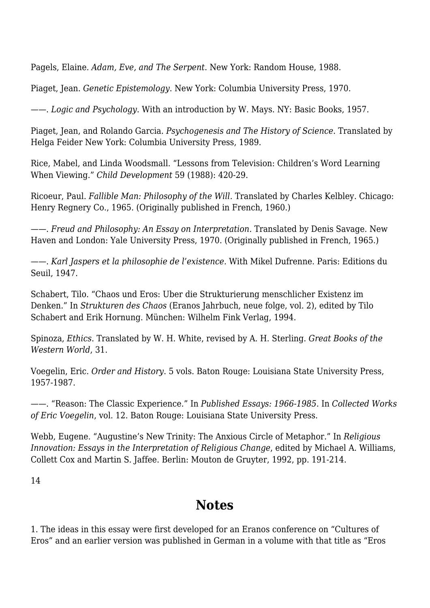Pagels, Elaine. *Adam, Eve, and The Serpent*. New York: Random House, 1988.

Piaget, Jean. *Genetic Epistemology*. New York: Columbia University Press, 1970.

——. *Logic and Psychology*. With an introduction by W. Mays. NY: Basic Books, 1957.

Piaget, Jean, and Rolando Garcia. *Psychogenesis and The History of Science*. Translated by Helga Feider New York: Columbia University Press, 1989.

Rice, Mabel, and Linda Woodsmall. "Lessons from Television: Children's Word Learning When Viewing." *Child Development* 59 (1988): 420-29.

Ricoeur, Paul. *Fallible Man: Philosophy of the Will.* Translated by Charles Kelbley. Chicago: Henry Regnery Co., 1965. (Originally published in French, 1960.)

——. *Freud and Philosophy: An Essay on Interpretation.* Translated by Denis Savage. New Haven and London: Yale University Press, 1970. (Originally published in French, 1965.)

——. *Karl Jaspers et la philosophie de l'existence.* With Mikel Dufrenne. Paris: Editions du Seuil, 1947.

Schabert, Tilo. "Chaos und Eros: Uber die Strukturierung menschlicher Existenz im Denken." In *Strukturen des Chaos* (Eranos Jahrbuch, neue folge, vol. 2), edited by Tilo Schabert and Erik Hornung. München: Wilhelm Fink Verlag, 1994.

Spinoza, *Ethics*. Translated by W. H. White, revised by A. H. Sterling. *Great Books of the Western World*, 31.

Voegelin, Eric. *Order and History*. 5 vols. Baton Rouge: Louisiana State University Press, 1957-1987.

——. "Reason: The Classic Experience." In *Published Essays: 1966-1985*. In *Collected Works of Eric Voegelin*, vol. 12. Baton Rouge: Louisiana State University Press.

Webb, Eugene. "Augustine's New Trinity: The Anxious Circle of Metaphor." In *Religious Innovation: Essays in the Interpretation of Religious Change*, edited by Michael A. Williams, Collett Cox and Martin S. Jaffee. Berlin: Mouton de Gruyter, 1992, pp. 191-214.

14

# **Notes**

1. The ideas in this essay were first developed for an Eranos conference on "Cultures of Eros" and an earlier version was published in German in a volume with that title as "Eros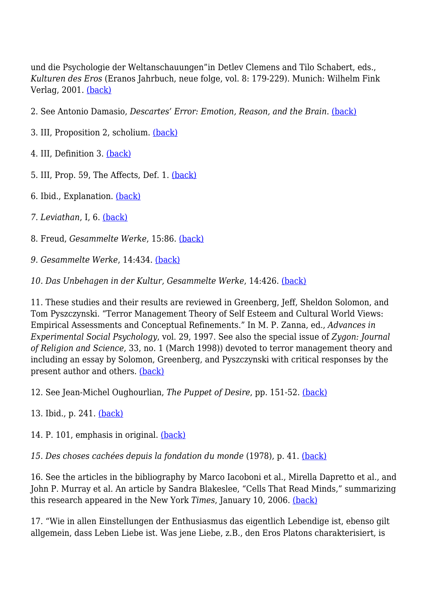und die Psychologie der Weltanschauungen"in Detlev Clemens and Tilo Schabert, eds., *Kulturen des Eros* (Eranos Jahrbuch, neue folge, vol. 8: 179-229). Munich: Wilhelm Fink Verlag, 2001. [\(back\)](http://anthropoetics.ucla.edu/ap1201/webb06rev#b1)

- 2. See Antonio Damasio, *Descartes' Error: Emotion, Reason, and the Brain*. [\(back\)](http://anthropoetics.ucla.edu/ap1201/webb06rev#b2)
- 3. III, Proposition 2, scholium. [\(back\)](http://anthropoetics.ucla.edu/ap1201/webb06rev#b3)
- 4. III, Definition 3. [\(back\)](http://anthropoetics.ucla.edu/ap1201/webb06rev#b4)
- 5. III, Prop. 59, The Affects, Def. 1. [\(back\)](http://anthropoetics.ucla.edu/ap1201/webb06rev#b5)
- 6. Ibid., Explanation. [\(back\)](http://anthropoetics.ucla.edu/ap1201/webb06rev#b6)
- *7. Leviathan*, I, 6. [\(back\)](http://anthropoetics.ucla.edu/ap1201/webb06rev#b7)
- 8. Freud, *Gesammelte Werke*, 15:86. [\(back\)](http://anthropoetics.ucla.edu/ap1201/webb06rev#b8)
- *9. Gesammelte Werke*, 14:434. [\(back\)](http://anthropoetics.ucla.edu/ap1201/webb06rev#b9)
- *10. Das Unbehagen in der Kultur, Gesammelte Werke*, 14:426. [\(back\)](http://anthropoetics.ucla.edu/ap1201/webb06rev#b10)

11. These studies and their results are reviewed in Greenberg, Jeff, Sheldon Solomon, and Tom Pyszczynski. "Terror Management Theory of Self Esteem and Cultural World Views: Empirical Assessments and Conceptual Refinements." In M. P. Zanna, ed., *Advances in Experimental Social Psychology*, vol. 29, 1997. See also the special issue of *Zygon: Journal of Religion and Science*, 33, no. 1 (March 1998)) devoted to terror management theory and including an essay by Solomon, Greenberg, and Pyszczynski with critical responses by the present author and others. [\(back\)](http://anthropoetics.ucla.edu/ap1201/webb06rev#b11)

12. See Jean-Michel Oughourlian, *The Puppet of Desire*, pp. 151-52. [\(back\)](http://anthropoetics.ucla.edu/ap1201/webb06rev#b12)

13. Ibid., p. 241. [\(back\)](http://anthropoetics.ucla.edu/ap1201/webb06rev#b13)

14. P. 101, emphasis in original. [\(back\)](http://anthropoetics.ucla.edu/ap1201/webb06rev#b14)

*15. Des choses cachées depuis la fondation du monde* (1978), p. 41. [\(back\)](http://anthropoetics.ucla.edu/ap1201/webb06rev#b15)

16. See the articles in the bibliography by Marco Iacoboni et al., Mirella Dapretto et al., and John P. Murray et al. An article by Sandra Blakeslee, "Cells That Read Minds," summarizing this research appeared in the New York *Times*, January 10, 2006. [\(back\)](http://anthropoetics.ucla.edu/ap1201/webb06rev#b16)

17. "Wie in allen Einstellungen der Enthusiasmus das eigentlich Lebendige ist, ebenso gilt allgemein, dass Leben Liebe ist. Was jene Liebe, z.B., den Eros Platons charakterisiert, is